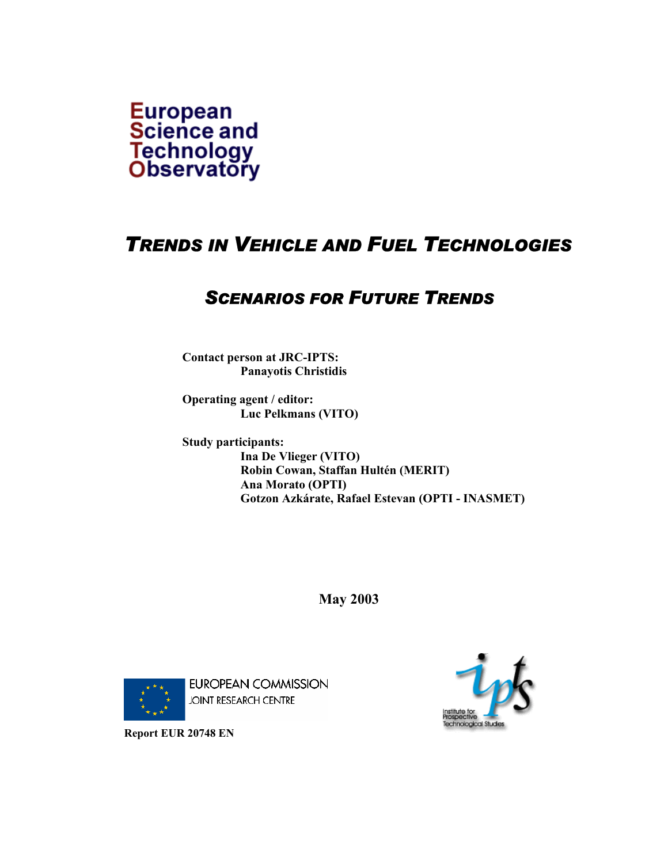

# *TRENDS IN VEHICLE AND FUEL TECHNOLOGIES*

# *SCENARIOS FOR FUTURE TRENDS*

**Contact person at JRC-IPTS: Panayotis Christidis** 

**Operating agent / editor: Luc Pelkmans (VITO)** 

**Study participants: Ina De Vlieger (VITO) Robin Cowan, Staffan Hultén (MERIT) Ana Morato (OPTI) Gotzon Azkárate, Rafael Estevan (OPTI - INASMET)** 

**May 2003** 



EUROPEAN COMMISSION **JOINT RESEARCH CENTRE** 



**Report EUR 20748 EN**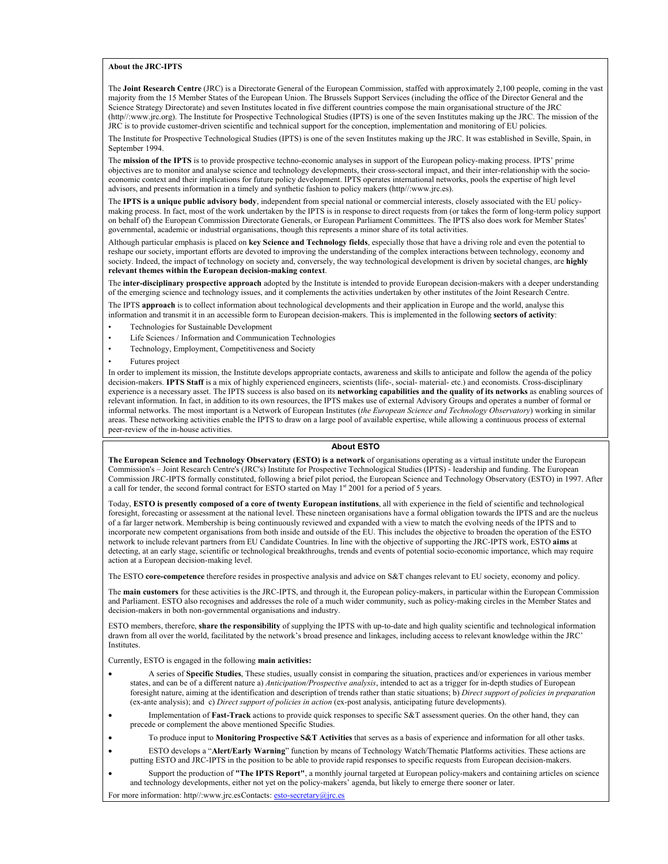#### **About the JRC-IPTS**

The **Joint Research Centre** (JRC) is a Directorate General of the European Commission, staffed with approximately 2,100 people, coming in the vast majority from the 15 Member States of the European Union. The Brussels Support Services (including the office of the Director General and the Science Strategy Directorate) and seven Institutes located in five different countries compose the main organisational structure of the JRC (http//:www.jrc.org). The Institute for Prospective Technological Studies (IPTS) is one of the seven Institutes making up the JRC. The mission of the JRC is to provide customer-driven scientific and technical support for the conception, implementation and monitoring of EU policies.

The Institute for Prospective Technological Studies (IPTS) is one of the seven Institutes making up the JRC. It was established in Seville, Spain, in September 1994.

The **mission of the IPTS** is to provide prospective techno-economic analyses in support of the European policy-making process. IPTS' prime objectives are to monitor and analyse science and technology developments, their cross-sectoral impact, and their inter-relationship with the socioeconomic context and their implications for future policy development. IPTS operates international networks, pools the expertise of high level advisors, and presents information in a timely and synthetic fashion to policy makers (http//:www.jrc.es).

The **IPTS is a unique public advisory body**, independent from special national or commercial interests, closely associated with the EU policymaking process. In fact, most of the work undertaken by the IPTS is in response to direct requests from (or takes the form of long-term policy support on behalf of) the European Commission Directorate Generals, or European Parliament Committees. The IPTS also does work for Member States' governmental, academic or industrial organisations, though this represents a minor share of its total activities.

Although particular emphasis is placed on **key Science and Technology fields**, especially those that have a driving role and even the potential to reshape our society, important efforts are devoted to improving the understanding of the complex interactions between technology, economy and society. Indeed, the impact of technology on society and, conversely, the way technological development is driven by societal changes, are **highly relevant themes within the European decision-making context**.

The **inter-disciplinary prospective approach** adopted by the Institute is intended to provide European decision-makers with a deeper understanding of the emerging science and technology issues, and it complements the activities undertaken by other institutes of the Joint Research Centre.

The IPTS **approach** is to collect information about technological developments and their application in Europe and the world, analyse this information and transmit it in an accessible form to European decision-makers. This is implemented in the following **sectors of activity**:

- Technologies for Sustainable Development
- Life Sciences / Information and Communication Technologies
- Technology, Employment, Competitiveness and Society
- Futures project

In order to implement its mission, the Institute develops appropriate contacts, awareness and skills to anticipate and follow the agenda of the policy decision-makers. **IPTS Staff** is a mix of highly experienced engineers, scientists (life-, social- material- etc.) and economists. Cross-disciplinary experience is a necessary asset. The IPTS success is also based on its **networking capabilities and the quality of its networks** as enabling sources of relevant information. In fact, in addition to its own resources, the IPTS makes use of external Advisory Groups and operates a number of formal or informal networks. The most important is a Network of European Institutes (*the European Science and Technology Observatory*) working in similar areas. These networking activities enable the IPTS to draw on a large pool of available expertise, while allowing a continuous process of external peer-review of the in-house activities.

#### **About ESTO**

**The European Science and Technology Observatory (ESTO) is a network** of organisations operating as a virtual institute under the European Commission's – Joint Research Centre's (JRC's) Institute for Prospective Technological Studies (IPTS) - leadership and funding. The European Commission JRC-IPTS formally constituted, following a brief pilot period, the European Science and Technology Observatory (ESTO) in 1997. After a call for tender, the second formal contract for ESTO started on May 1<sup>st</sup> 2001 for a period of 5 years.

Today, **ESTO is presently composed of a core of twenty European institutions**, all with experience in the field of scientific and technological foresight, forecasting or assessment at the national level. These nineteen organisations have a formal obligation towards the IPTS and are the nucleus of a far larger network. Membership is being continuously reviewed and expanded with a view to match the evolving needs of the IPTS and to incorporate new competent organisations from both inside and outside of the EU. This includes the objective to broaden the operation of the ESTO network to include relevant partners from EU Candidate Countries. In line with the objective of supporting the JRC-IPTS work, ESTO **aims** at detecting, at an early stage, scientific or technological breakthroughs, trends and events of potential socio-economic importance, which may require action at a European decision-making level.

The ESTO **core-competence** therefore resides in prospective analysis and advice on S&T changes relevant to EU society, economy and policy.

The **main customers** for these activities is the JRC-IPTS, and through it, the European policy-makers, in particular within the European Commission and Parliament. ESTO also recognises and addresses the role of a much wider community, such as policy-making circles in the Member States and decision-makers in both non-governmental organisations and industry.

ESTO members, therefore, **share the responsibility** of supplying the IPTS with up-to-date and high quality scientific and technological information drawn from all over the world, facilitated by the network's broad presence and linkages, including access to relevant knowledge within the JRC' **Institutes** 

Currently, ESTO is engaged in the following **main activities:**

- A series of **Specific Studies**, These studies, usually consist in comparing the situation, practices and/or experiences in various member states, and can be of a different nature a) *Anticipation/Prospective analysis*, intended to act as a trigger for in-depth studies of European foresight nature, aiming at the identification and description of trends rather than static situations; b) *Direct support of policies in preparation*  (ex-ante analysis); and c) *Direct support of policies in action* (ex-post analysis, anticipating future developments).
- Implementation of **Fast-Track** actions to provide quick responses to specific S&T assessment queries. On the other hand, they can precede or complement the above mentioned Specific Studies.
	- To produce input to **Monitoring Prospective S&T Activities** that serves as a basis of experience and information for all other tasks.
- ESTO develops a "**Alert/Early Warning**" function by means of Technology Watch/Thematic Platforms activities. These actions are putting ESTO and JRC-IPTS in the position to be able to provide rapid responses to specific requests from European decision-makers.
- Support the production of **"The IPTS Report"**, a monthly journal targeted at European policy-makers and containing articles on science and technology developments, either not yet on the policy-makers' agenda, but likely to emerge there sooner or later.

For more information: http//:www.jrc.esContacts: esto-secretary@jrc.es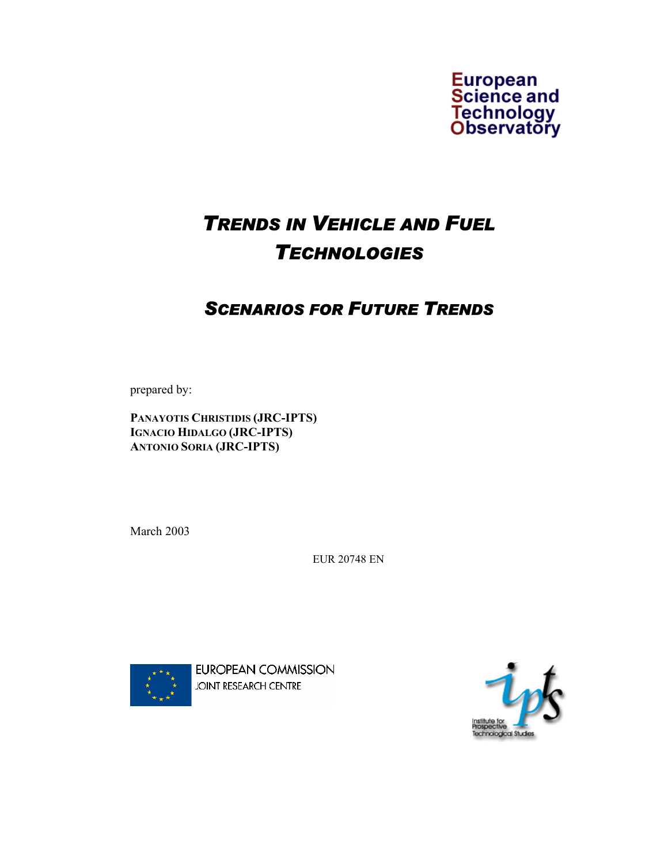

# *TRENDS IN VEHICLE AND FUEL TECHNOLOGIES*

# *SCENARIOS FOR FUTURE TRENDS*

prepared by:

**PANAYOTIS CHRISTIDIS (JRC-IPTS) IGNACIO HIDALGO (JRC-IPTS) ANTONIO SORIA (JRC-IPTS)** 

March 2003

EUR 20748 EN



**EUROPEAN COMMISSION JOINT RESEARCH CENTRE** 

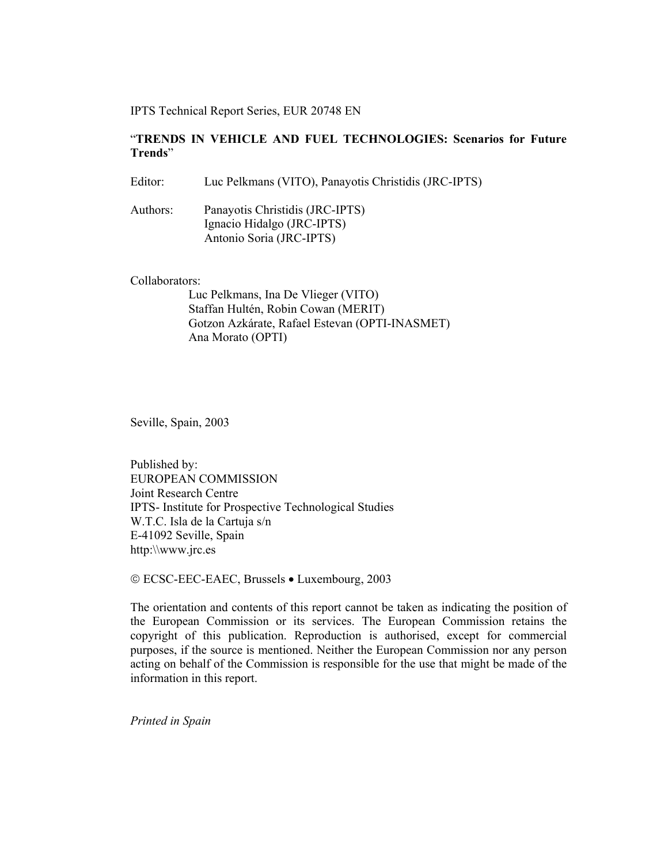IPTS Technical Report Series, EUR 20748 EN

#### "**TRENDS IN VEHICLE AND FUEL TECHNOLOGIES: Scenarios for Future Trends**"

Editor: Luc Pelkmans (VITO), Panayotis Christidis (JRC-IPTS)

Authors: Panayotis Christidis (JRC-IPTS) Ignacio Hidalgo (JRC-IPTS) Antonio Soria (JRC-IPTS)

Collaborators:

Luc Pelkmans, Ina De Vlieger (VITO) Staffan Hultén, Robin Cowan (MERIT) Gotzon Azkárate, Rafael Estevan (OPTI-INASMET) Ana Morato (OPTI)

Seville, Spain, 2003

Published by: EUROPEAN COMMISSION Joint Research Centre IPTS- Institute for Prospective Technological Studies W.T.C. Isla de la Cartuja s/n E-41092 Seville, Spain http:\\www.jrc.es

ECSC-EEC-EAEC, Brussels • Luxembourg, 2003

The orientation and contents of this report cannot be taken as indicating the position of the European Commission or its services. The European Commission retains the copyright of this publication. Reproduction is authorised, except for commercial purposes, if the source is mentioned. Neither the European Commission nor any person acting on behalf of the Commission is responsible for the use that might be made of the information in this report.

*Printed in Spain*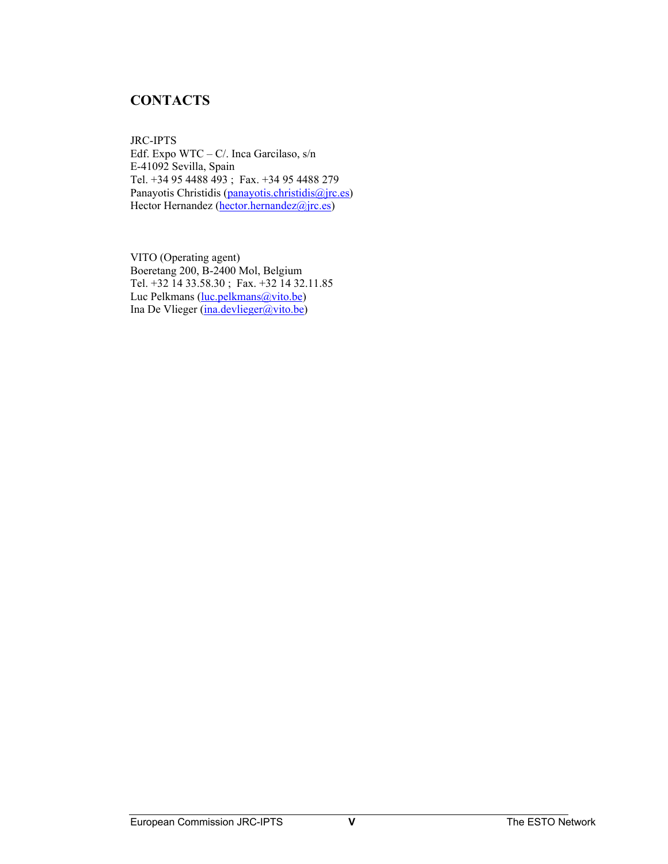## **CONTACTS**

JRC-IPTS Edf. Expo WTC – C/. Inca Garcilaso, s/n E-41092 Sevilla, Spain Tel. +34 95 4488 493 ; Fax. +34 95 4488 279 Panayotis Christidis (panayotis.christidis@jrc.es) Hector Hernandez (hector.hernandez@jrc.es)

VITO (Operating agent) Boeretang 200, B-2400 Mol, Belgium Tel. +32 14 33.58.30 ; Fax. +32 14 32.11.85 Luc Pelkmans (luc.pelkmans@vito.be) Ina De Vlieger (ina.devlieger@vito.be)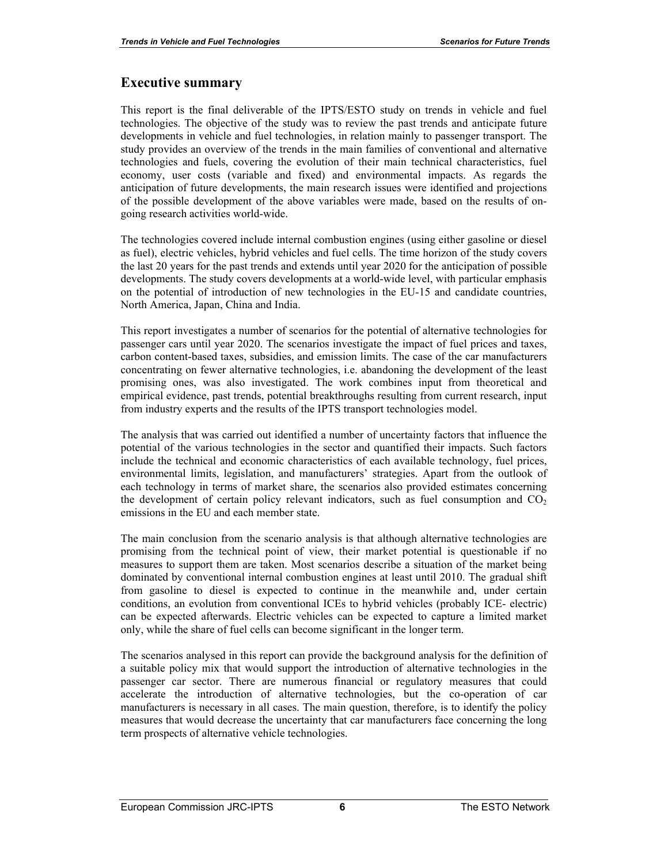#### **Executive summary**

This report is the final deliverable of the IPTS/ESTO study on trends in vehicle and fuel technologies. The objective of the study was to review the past trends and anticipate future developments in vehicle and fuel technologies, in relation mainly to passenger transport. The study provides an overview of the trends in the main families of conventional and alternative technologies and fuels, covering the evolution of their main technical characteristics, fuel economy, user costs (variable and fixed) and environmental impacts. As regards the anticipation of future developments, the main research issues were identified and projections of the possible development of the above variables were made, based on the results of ongoing research activities world-wide.

The technologies covered include internal combustion engines (using either gasoline or diesel as fuel), electric vehicles, hybrid vehicles and fuel cells. The time horizon of the study covers the last 20 years for the past trends and extends until year 2020 for the anticipation of possible developments. The study covers developments at a world-wide level, with particular emphasis on the potential of introduction of new technologies in the EU-15 and candidate countries, North America, Japan, China and India.

This report investigates a number of scenarios for the potential of alternative technologies for passenger cars until year 2020. The scenarios investigate the impact of fuel prices and taxes, carbon content-based taxes, subsidies, and emission limits. The case of the car manufacturers concentrating on fewer alternative technologies, i.e. abandoning the development of the least promising ones, was also investigated. The work combines input from theoretical and empirical evidence, past trends, potential breakthroughs resulting from current research, input from industry experts and the results of the IPTS transport technologies model.

The analysis that was carried out identified a number of uncertainty factors that influence the potential of the various technologies in the sector and quantified their impacts. Such factors include the technical and economic characteristics of each available technology, fuel prices, environmental limits, legislation, and manufacturers' strategies. Apart from the outlook of each technology in terms of market share, the scenarios also provided estimates concerning the development of certain policy relevant indicators, such as fuel consumption and  $CO<sub>2</sub>$ emissions in the EU and each member state.

The main conclusion from the scenario analysis is that although alternative technologies are promising from the technical point of view, their market potential is questionable if no measures to support them are taken. Most scenarios describe a situation of the market being dominated by conventional internal combustion engines at least until 2010. The gradual shift from gasoline to diesel is expected to continue in the meanwhile and, under certain conditions, an evolution from conventional ICEs to hybrid vehicles (probably ICE- electric) can be expected afterwards. Electric vehicles can be expected to capture a limited market only, while the share of fuel cells can become significant in the longer term.

The scenarios analysed in this report can provide the background analysis for the definition of a suitable policy mix that would support the introduction of alternative technologies in the passenger car sector. There are numerous financial or regulatory measures that could accelerate the introduction of alternative technologies, but the co-operation of car manufacturers is necessary in all cases. The main question, therefore, is to identify the policy measures that would decrease the uncertainty that car manufacturers face concerning the long term prospects of alternative vehicle technologies.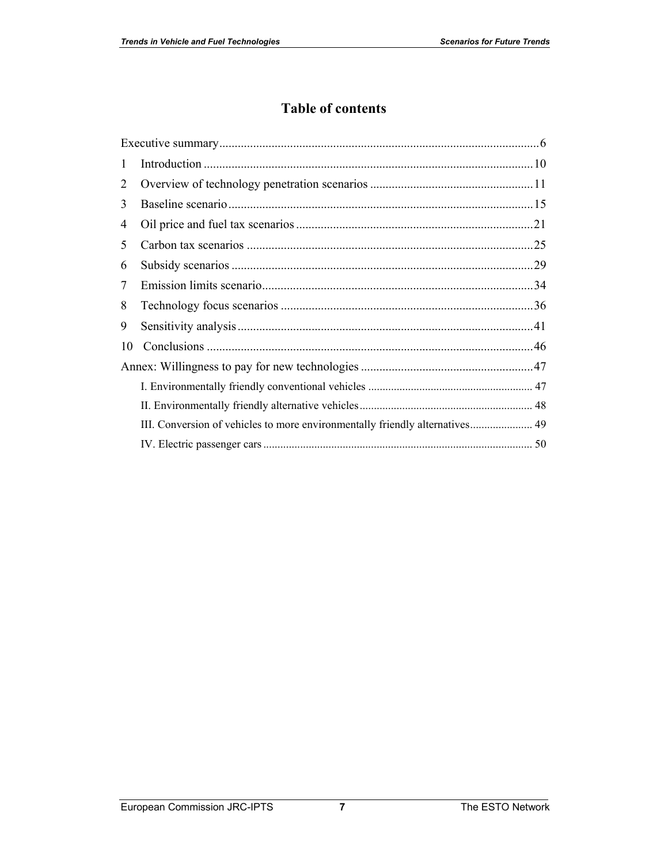## **Table of contents**

| 1  |                                                                              |  |
|----|------------------------------------------------------------------------------|--|
| 2  |                                                                              |  |
| 3  |                                                                              |  |
| 4  |                                                                              |  |
| 5  |                                                                              |  |
| 6  |                                                                              |  |
| 7  |                                                                              |  |
| 8  |                                                                              |  |
| 9  |                                                                              |  |
| 10 |                                                                              |  |
|    |                                                                              |  |
|    |                                                                              |  |
|    |                                                                              |  |
|    | III. Conversion of vehicles to more environmentally friendly alternatives 49 |  |
|    |                                                                              |  |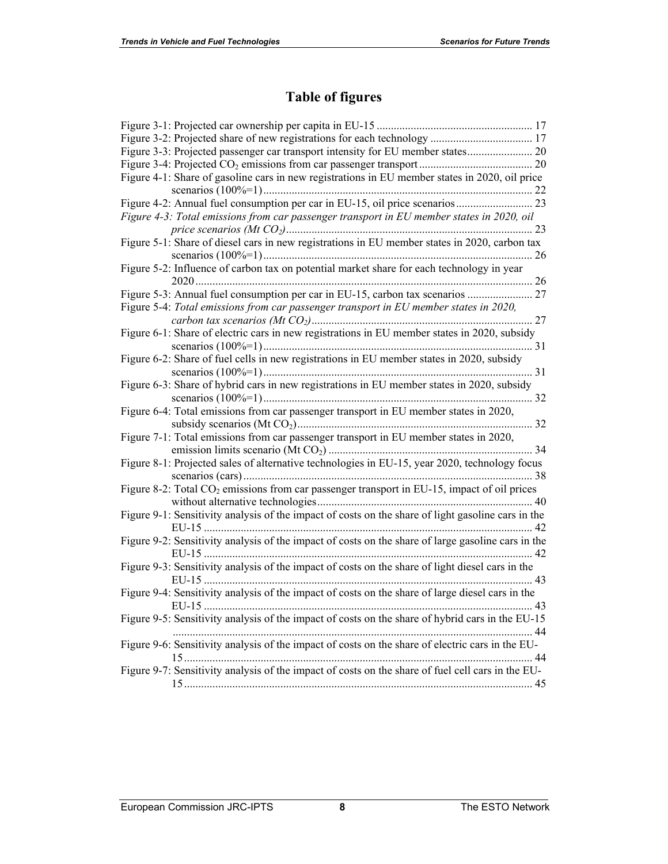## **Table of figures**

| Figure 4-1: Share of gasoline cars in new registrations in EU member states in 2020, oil price          |  |
|---------------------------------------------------------------------------------------------------------|--|
|                                                                                                         |  |
| Figure 4-3: Total emissions from car passenger transport in EU member states in 2020, oil               |  |
|                                                                                                         |  |
| Figure 5-1: Share of diesel cars in new registrations in EU member states in 2020, carbon tax           |  |
| Figure 5-2: Influence of carbon tax on potential market share for each technology in year               |  |
|                                                                                                         |  |
|                                                                                                         |  |
| Figure 5-4: Total emissions from car passenger transport in EU member states in 2020,                   |  |
|                                                                                                         |  |
| Figure 6-1: Share of electric cars in new registrations in EU member states in 2020, subsidy            |  |
|                                                                                                         |  |
| Figure 6-2: Share of fuel cells in new registrations in EU member states in 2020, subsidy               |  |
|                                                                                                         |  |
| Figure 6-3: Share of hybrid cars in new registrations in EU member states in 2020, subsidy              |  |
|                                                                                                         |  |
| Figure 6-4: Total emissions from car passenger transport in EU member states in 2020,                   |  |
| Figure 7-1: Total emissions from car passenger transport in EU member states in 2020,                   |  |
|                                                                                                         |  |
| Figure 8-1: Projected sales of alternative technologies in EU-15, year 2020, technology focus           |  |
|                                                                                                         |  |
| Figure 8-2: Total CO <sub>2</sub> emissions from car passenger transport in EU-15, impact of oil prices |  |
|                                                                                                         |  |
| Figure 9-1: Sensitivity analysis of the impact of costs on the share of light gasoline cars in the      |  |
|                                                                                                         |  |
| Figure 9-2: Sensitivity analysis of the impact of costs on the share of large gasoline cars in the      |  |
|                                                                                                         |  |
| Figure 9-3: Sensitivity analysis of the impact of costs on the share of light diesel cars in the        |  |
|                                                                                                         |  |
| Figure 9-4: Sensitivity analysis of the impact of costs on the share of large diesel cars in the        |  |
|                                                                                                         |  |
| Figure 9-5: Sensitivity analysis of the impact of costs on the share of hybrid cars in the EU-15        |  |
| Figure 9-6: Sensitivity analysis of the impact of costs on the share of electric cars in the EU-        |  |
|                                                                                                         |  |
| Figure 9-7: Sensitivity analysis of the impact of costs on the share of fuel cell cars in the EU-       |  |
|                                                                                                         |  |
|                                                                                                         |  |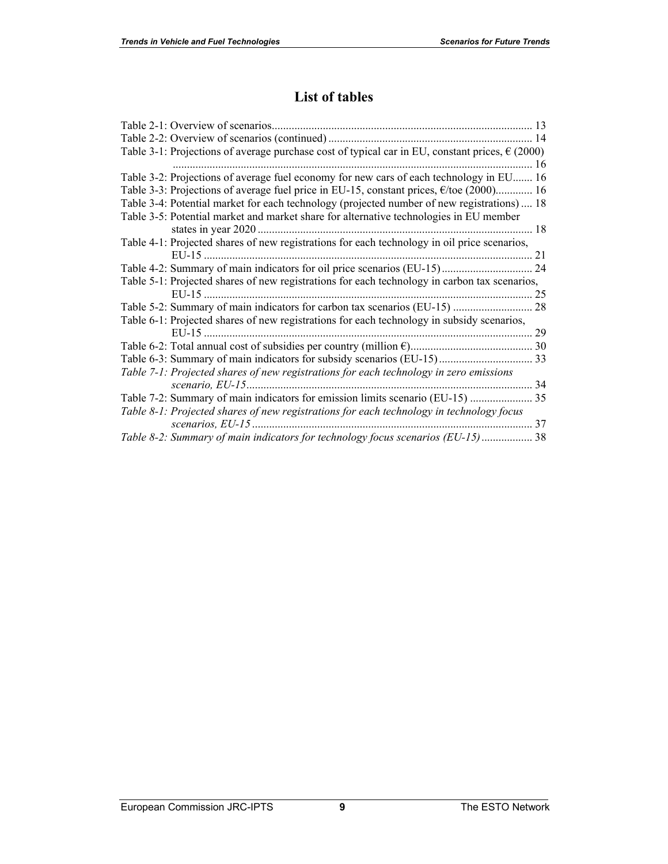## **List of tables**

| Table 3-1: Projections of average purchase cost of typical car in EU, constant prices, $\epsilon$ (2000) |    |
|----------------------------------------------------------------------------------------------------------|----|
|                                                                                                          |    |
| Table 3-2: Projections of average fuel economy for new cars of each technology in EU 16                  |    |
| Table 3-3: Projections of average fuel price in EU-15, constant prices, $\epsilon$ /toe (2000) 16        |    |
| Table 3-4: Potential market for each technology (projected number of new registrations)  18              |    |
| Table 3-5: Potential market and market share for alternative technologies in EU member                   |    |
|                                                                                                          |    |
| Table 4-1: Projected shares of new registrations for each technology in oil price scenarios,             |    |
|                                                                                                          |    |
|                                                                                                          |    |
| Table 5-1: Projected shares of new registrations for each technology in carbon tax scenarios,            |    |
|                                                                                                          |    |
|                                                                                                          |    |
| Table 6-1: Projected shares of new registrations for each technology in subsidy scenarios,               |    |
|                                                                                                          |    |
|                                                                                                          |    |
|                                                                                                          |    |
| Table 7-1: Projected shares of new registrations for each technology in zero emissions                   |    |
|                                                                                                          |    |
| Table 7-2: Summary of main indicators for emission limits scenario (EU-15)                               | 35 |
| Table 8-1: Projected shares of new registrations for each technology in technology focus                 |    |
|                                                                                                          |    |
| Table 8-2: Summary of main indicators for technology focus scenarios (EU-15) 38                          |    |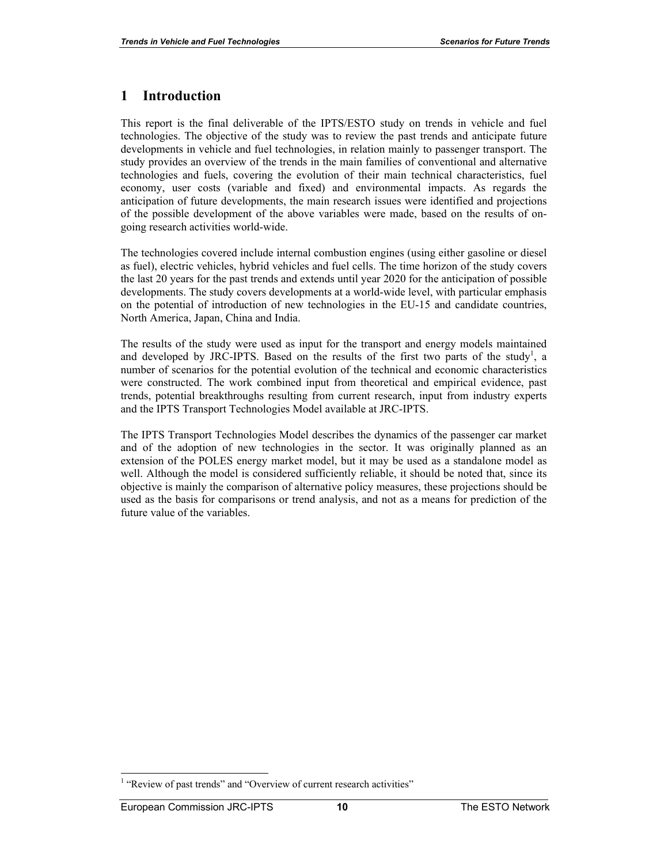## **1 Introduction**

This report is the final deliverable of the IPTS/ESTO study on trends in vehicle and fuel technologies. The objective of the study was to review the past trends and anticipate future developments in vehicle and fuel technologies, in relation mainly to passenger transport. The study provides an overview of the trends in the main families of conventional and alternative technologies and fuels, covering the evolution of their main technical characteristics, fuel economy, user costs (variable and fixed) and environmental impacts. As regards the anticipation of future developments, the main research issues were identified and projections of the possible development of the above variables were made, based on the results of ongoing research activities world-wide.

The technologies covered include internal combustion engines (using either gasoline or diesel as fuel), electric vehicles, hybrid vehicles and fuel cells. The time horizon of the study covers the last 20 years for the past trends and extends until year 2020 for the anticipation of possible developments. The study covers developments at a world-wide level, with particular emphasis on the potential of introduction of new technologies in the EU-15 and candidate countries, North America, Japan, China and India.

The results of the study were used as input for the transport and energy models maintained and developed by JRC-IPTS. Based on the results of the first two parts of the study<sup>1</sup>, a number of scenarios for the potential evolution of the technical and economic characteristics were constructed. The work combined input from theoretical and empirical evidence, past trends, potential breakthroughs resulting from current research, input from industry experts and the IPTS Transport Technologies Model available at JRC-IPTS.

The IPTS Transport Technologies Model describes the dynamics of the passenger car market and of the adoption of new technologies in the sector. It was originally planned as an extension of the POLES energy market model, but it may be used as a standalone model as well. Although the model is considered sufficiently reliable, it should be noted that, since its objective is mainly the comparison of alternative policy measures, these projections should be used as the basis for comparisons or trend analysis, and not as a means for prediction of the future value of the variables.

 $\overline{\phantom{a}}$ 

<sup>&</sup>lt;sup>1</sup> "Review of past trends" and "Overview of current research activities"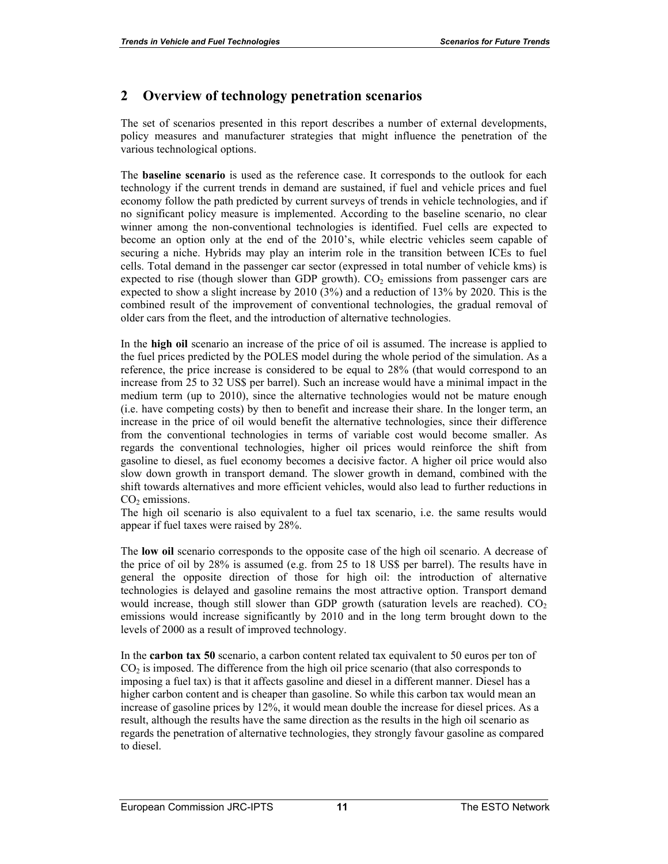## **2 Overview of technology penetration scenarios**

The set of scenarios presented in this report describes a number of external developments, policy measures and manufacturer strategies that might influence the penetration of the various technological options.

The **baseline scenario** is used as the reference case. It corresponds to the outlook for each technology if the current trends in demand are sustained, if fuel and vehicle prices and fuel economy follow the path predicted by current surveys of trends in vehicle technologies, and if no significant policy measure is implemented. According to the baseline scenario, no clear winner among the non-conventional technologies is identified. Fuel cells are expected to become an option only at the end of the 2010's, while electric vehicles seem capable of securing a niche. Hybrids may play an interim role in the transition between ICEs to fuel cells. Total demand in the passenger car sector (expressed in total number of vehicle kms) is expected to rise (though slower than GDP growth).  $CO<sub>2</sub>$  emissions from passenger cars are expected to show a slight increase by 2010 (3%) and a reduction of 13% by 2020. This is the combined result of the improvement of conventional technologies, the gradual removal of older cars from the fleet, and the introduction of alternative technologies.

In the **high oil** scenario an increase of the price of oil is assumed. The increase is applied to the fuel prices predicted by the POLES model during the whole period of the simulation. As a reference, the price increase is considered to be equal to 28% (that would correspond to an increase from 25 to 32 US\$ per barrel). Such an increase would have a minimal impact in the medium term (up to 2010), since the alternative technologies would not be mature enough (i.e. have competing costs) by then to benefit and increase their share. In the longer term, an increase in the price of oil would benefit the alternative technologies, since their difference from the conventional technologies in terms of variable cost would become smaller. As regards the conventional technologies, higher oil prices would reinforce the shift from gasoline to diesel, as fuel economy becomes a decisive factor. A higher oil price would also slow down growth in transport demand. The slower growth in demand, combined with the shift towards alternatives and more efficient vehicles, would also lead to further reductions in  $CO<sub>2</sub>$  emissions.

The high oil scenario is also equivalent to a fuel tax scenario, i.e. the same results would appear if fuel taxes were raised by 28%.

The **low oil** scenario corresponds to the opposite case of the high oil scenario. A decrease of the price of oil by 28% is assumed (e.g. from 25 to 18 US\$ per barrel). The results have in general the opposite direction of those for high oil: the introduction of alternative technologies is delayed and gasoline remains the most attractive option. Transport demand would increase, though still slower than GDP growth (saturation levels are reached).  $CO<sub>2</sub>$ emissions would increase significantly by 2010 and in the long term brought down to the levels of 2000 as a result of improved technology.

In the **carbon tax 50** scenario, a carbon content related tax equivalent to 50 euros per ton of  $CO<sub>2</sub>$  is imposed. The difference from the high oil price scenario (that also corresponds to imposing a fuel tax) is that it affects gasoline and diesel in a different manner. Diesel has a higher carbon content and is cheaper than gasoline. So while this carbon tax would mean an increase of gasoline prices by 12%, it would mean double the increase for diesel prices. As a result, although the results have the same direction as the results in the high oil scenario as regards the penetration of alternative technologies, they strongly favour gasoline as compared to diesel.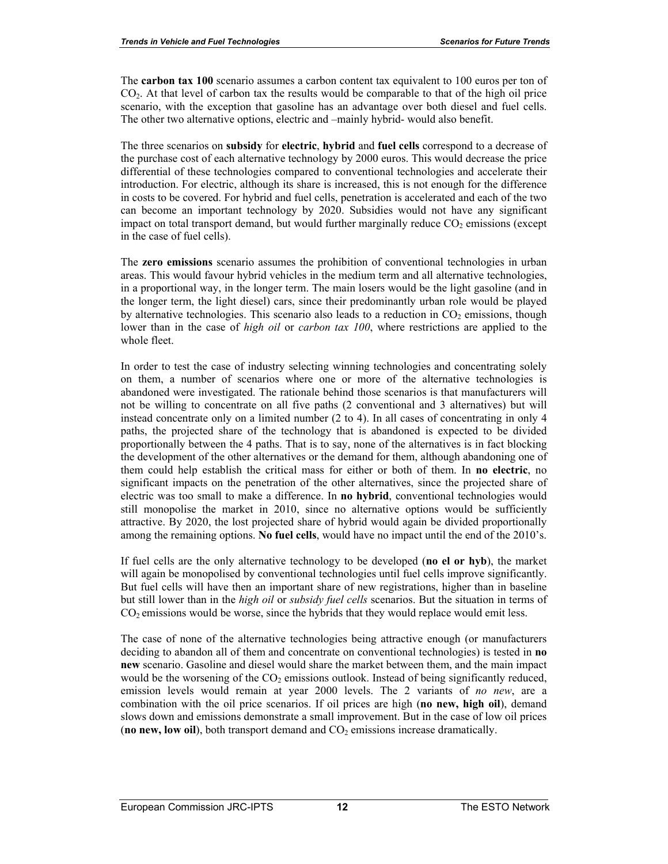The **carbon tax 100** scenario assumes a carbon content tax equivalent to 100 euros per ton of CO2. At that level of carbon tax the results would be comparable to that of the high oil price scenario, with the exception that gasoline has an advantage over both diesel and fuel cells. The other two alternative options, electric and –mainly hybrid- would also benefit.

The three scenarios on **subsidy** for **electric**, **hybrid** and **fuel cells** correspond to a decrease of the purchase cost of each alternative technology by 2000 euros. This would decrease the price differential of these technologies compared to conventional technologies and accelerate their introduction. For electric, although its share is increased, this is not enough for the difference in costs to be covered. For hybrid and fuel cells, penetration is accelerated and each of the two can become an important technology by 2020. Subsidies would not have any significant impact on total transport demand, but would further marginally reduce  $CO<sub>2</sub>$  emissions (except in the case of fuel cells).

The **zero emissions** scenario assumes the prohibition of conventional technologies in urban areas. This would favour hybrid vehicles in the medium term and all alternative technologies, in a proportional way, in the longer term. The main losers would be the light gasoline (and in the longer term, the light diesel) cars, since their predominantly urban role would be played by alternative technologies. This scenario also leads to a reduction in  $CO<sub>2</sub>$  emissions, though lower than in the case of *high oil* or *carbon tax 100*, where restrictions are applied to the whole fleet.

In order to test the case of industry selecting winning technologies and concentrating solely on them, a number of scenarios where one or more of the alternative technologies is abandoned were investigated. The rationale behind those scenarios is that manufacturers will not be willing to concentrate on all five paths (2 conventional and 3 alternatives) but will instead concentrate only on a limited number (2 to 4). In all cases of concentrating in only 4 paths, the projected share of the technology that is abandoned is expected to be divided proportionally between the 4 paths. That is to say, none of the alternatives is in fact blocking the development of the other alternatives or the demand for them, although abandoning one of them could help establish the critical mass for either or both of them. In **no electric**, no significant impacts on the penetration of the other alternatives, since the projected share of electric was too small to make a difference. In **no hybrid**, conventional technologies would still monopolise the market in 2010, since no alternative options would be sufficiently attractive. By 2020, the lost projected share of hybrid would again be divided proportionally among the remaining options. **No fuel cells**, would have no impact until the end of the 2010's.

If fuel cells are the only alternative technology to be developed (**no el or hyb**), the market will again be monopolised by conventional technologies until fuel cells improve significantly. But fuel cells will have then an important share of new registrations, higher than in baseline but still lower than in the *high oil* or *subsidy fuel cells* scenarios. But the situation in terms of  $CO<sub>2</sub>$  emissions would be worse, since the hybrids that they would replace would emit less.

The case of none of the alternative technologies being attractive enough (or manufacturers deciding to abandon all of them and concentrate on conventional technologies) is tested in **no new** scenario. Gasoline and diesel would share the market between them, and the main impact would be the worsening of the  $CO<sub>2</sub>$  emissions outlook. Instead of being significantly reduced, emission levels would remain at year 2000 levels. The 2 variants of *no new*, are a combination with the oil price scenarios. If oil prices are high (**no new, high oil**), demand slows down and emissions demonstrate a small improvement. But in the case of low oil prices (**no new, low oil**), both transport demand and  $CO<sub>2</sub>$  emissions increase dramatically.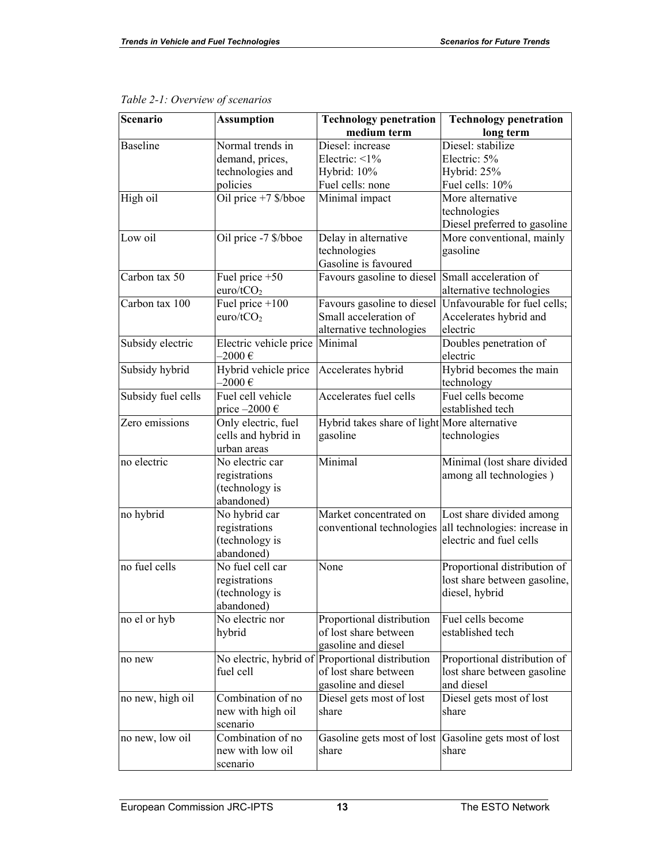| <b>Scenario</b>    | <b>Assumption</b>      | <b>Technology penetration</b>                    | <b>Technology penetration</b>                         |  |
|--------------------|------------------------|--------------------------------------------------|-------------------------------------------------------|--|
|                    |                        | medium term                                      | long term                                             |  |
| <b>Baseline</b>    | Normal trends in       | Diesel: increase                                 | Diesel: stabilize                                     |  |
|                    | demand, prices,        | Electric: $\leq 1\%$                             | Electric: 5%                                          |  |
|                    | technologies and       | Hybrid: 10%                                      | Hybrid: 25%                                           |  |
|                    | policies               | Fuel cells: none                                 | Fuel cells: 10%                                       |  |
| High oil           | Oil price +7 \$/bboe   | Minimal impact                                   | More alternative                                      |  |
|                    |                        |                                                  | technologies                                          |  |
|                    |                        |                                                  | Diesel preferred to gasoline                          |  |
| Low oil            | Oil price -7 \$/bboe   | Delay in alternative                             | More conventional, mainly                             |  |
|                    |                        | technologies                                     | gasoline                                              |  |
|                    |                        | Gasoline is favoured                             |                                                       |  |
| Carbon tax 50      | Fuel price $+50$       | Favours gasoline to diesel                       | Small acceleration of                                 |  |
|                    | euro/tCO <sub>2</sub>  |                                                  | alternative technologies                              |  |
| Carbon tax 100     | Fuel price $+100$      | Favours gasoline to diesel                       | Unfavourable for fuel cells;                          |  |
|                    | euro/t $CO2$           | Small acceleration of                            | Accelerates hybrid and                                |  |
|                    |                        | alternative technologies                         | electric                                              |  |
| Subsidy electric   | Electric vehicle price | Minimal                                          | Doubles penetration of                                |  |
|                    | $-2000 \in$            |                                                  | electric                                              |  |
| Subsidy hybrid     | Hybrid vehicle price   | Accelerates hybrid                               | Hybrid becomes the main                               |  |
|                    | $-2000 \in$            |                                                  | technology                                            |  |
| Subsidy fuel cells | Fuel cell vehicle      | Accelerates fuel cells                           | Fuel cells become                                     |  |
|                    | price $-2000 \in$      |                                                  | established tech                                      |  |
| Zero emissions     | Only electric, fuel    | Hybrid takes share of light More alternative     |                                                       |  |
|                    | cells and hybrid in    | gasoline                                         | technologies                                          |  |
|                    | urban areas            |                                                  |                                                       |  |
| no electric        | No electric car        | Minimal                                          | Minimal (lost share divided                           |  |
|                    | registrations          |                                                  | among all technologies)                               |  |
|                    | (technology is         |                                                  |                                                       |  |
|                    | abandoned)             |                                                  |                                                       |  |
| no hybrid          | No hybrid car          | Market concentrated on                           | Lost share divided among                              |  |
|                    | registrations          | conventional technologies                        | all technologies: increase in                         |  |
|                    | (technology is         |                                                  | electric and fuel cells                               |  |
|                    | abandoned)             |                                                  |                                                       |  |
| no fuel cells      | No fuel cell car       | None                                             | Proportional distribution of                          |  |
|                    | registrations          |                                                  | lost share between gasoline,                          |  |
|                    | (technology is         |                                                  | diesel, hybrid                                        |  |
|                    | abandoned)             |                                                  |                                                       |  |
| no el or hyb       | No electric nor        | Proportional distribution                        | Fuel cells become                                     |  |
|                    | hybrid                 | of lost share between                            | established tech                                      |  |
|                    |                        | gasoline and diesel                              |                                                       |  |
| no new             |                        | No electric, hybrid of Proportional distribution | Proportional distribution of                          |  |
|                    | fuel cell              | of lost share between                            | lost share between gasoline                           |  |
|                    |                        | gasoline and diesel                              | and diesel                                            |  |
| no new, high oil   | Combination of no      | Diesel gets most of lost                         | Diesel gets most of lost                              |  |
|                    | new with high oil      | share                                            | share                                                 |  |
|                    | scenario               |                                                  |                                                       |  |
| no new, low oil    | Combination of no      |                                                  | Gasoline gets most of lost Gasoline gets most of lost |  |
|                    | new with low oil       | share                                            | share                                                 |  |
|                    | scenario               |                                                  |                                                       |  |

|  |  | Table 2-1: Overview of scenarios |  |
|--|--|----------------------------------|--|
|--|--|----------------------------------|--|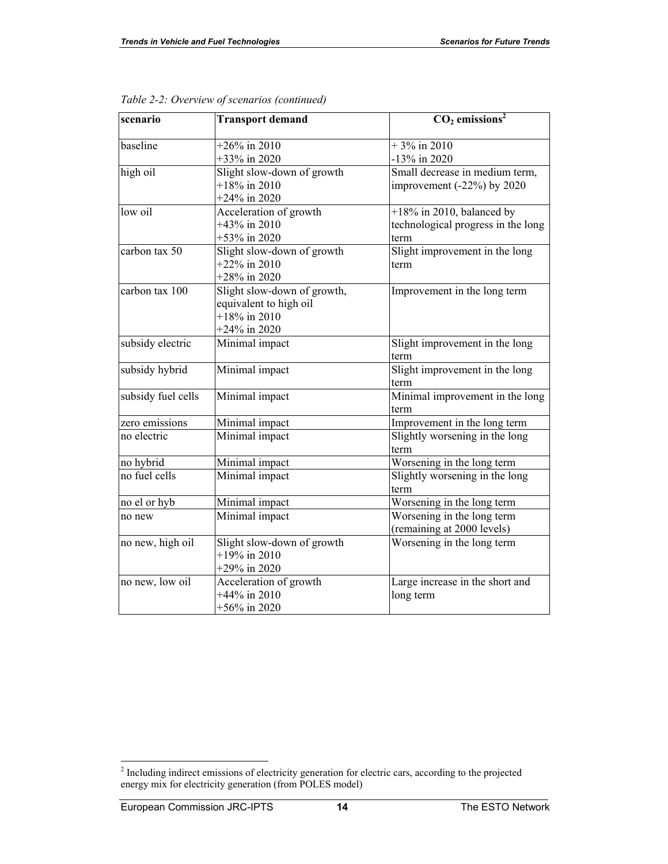| scenario           | <b>Transport demand</b>     | $\overline{CO}_2$ emissions <sup>2</sup> |
|--------------------|-----------------------------|------------------------------------------|
| baseline           | $+26\%$ in 2010             | $+3\%$ in 2010                           |
|                    | +33% in 2020                | -13% in 2020                             |
| high oil           | Slight slow-down of growth  | Small decrease in medium term,           |
|                    | $+18\%$ in 2010             | improvement $(-22%)$ by 2020             |
|                    | $+24\%$ in 2020             |                                          |
| low oil            | Acceleration of growth      | $+18\%$ in 2010, balanced by             |
|                    | $+43\%$ in 2010             | technological progress in the long       |
|                    | +53% in 2020                | term                                     |
| carbon tax 50      | Slight slow-down of growth  | Slight improvement in the long           |
|                    | $+22\%$ in 2010             | term                                     |
|                    | $+28\%$ in 2020             |                                          |
| carbon tax 100     | Slight slow-down of growth, | Improvement in the long term             |
|                    | equivalent to high oil      |                                          |
|                    | $+18\%$ in 2010             |                                          |
|                    | $+24\%$ in 2020             |                                          |
| subsidy electric   | Minimal impact              | Slight improvement in the long           |
|                    |                             | term                                     |
| subsidy hybrid     | Minimal impact              | Slight improvement in the long           |
|                    |                             | term                                     |
| subsidy fuel cells | Minimal impact              | Minimal improvement in the long          |
|                    |                             | term                                     |
| zero emissions     | Minimal impact              | Improvement in the long term             |
| no electric        | Minimal impact              | Slightly worsening in the long           |
|                    |                             | term                                     |
| no hybrid          | Minimal impact              | Worsening in the long term               |
| no fuel cells      | Minimal impact              | Slightly worsening in the long           |
|                    |                             | term                                     |
| no el or hyb       | Minimal impact              | Worsening in the long term               |
| no new             | Minimal impact              | Worsening in the long term               |
|                    |                             | (remaining at 2000 levels)               |
| no new, high oil   | Slight slow-down of growth  | Worsening in the long term               |
|                    | $+19\%$ in 2010             |                                          |
|                    | $+29\%$ in 2020             |                                          |
| no new, low oil    | Acceleration of growth      | Large increase in the short and          |
|                    | +44% in 2010                | long term                                |
|                    | $+56\%$ in 2020             |                                          |

*Table 2-2: Overview of scenarios (continued)* 

<sup>&</sup>lt;sup>2</sup> Including indirect emissions of electricity generation for electric cars, according to the projected energy mix for electricity generation (from POLES model)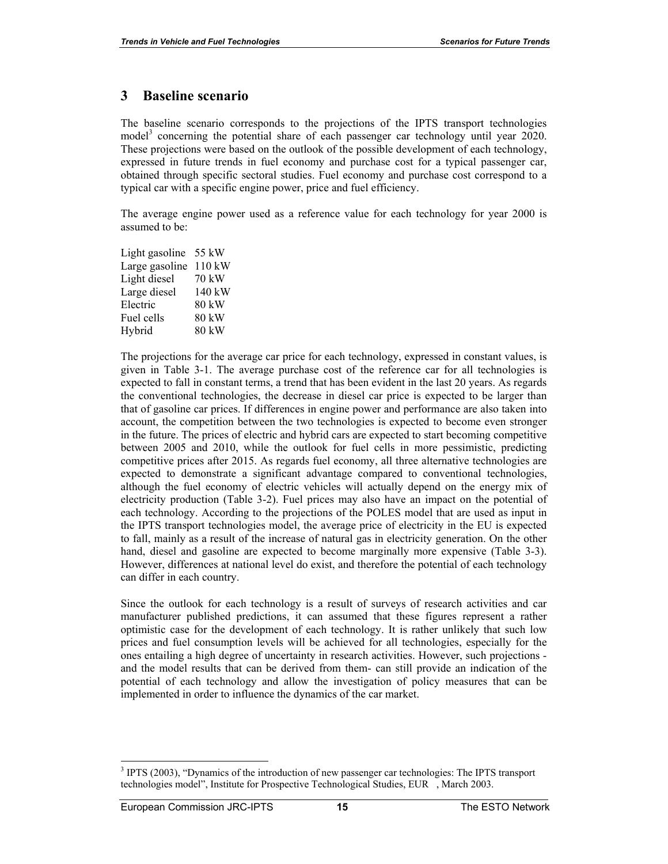#### **3 Baseline scenario**

The baseline scenario corresponds to the projections of the IPTS transport technologies model<sup>3</sup> concerning the potential share of each passenger car technology until year 2020. These projections were based on the outlook of the possible development of each technology, expressed in future trends in fuel economy and purchase cost for a typical passenger car, obtained through specific sectoral studies. Fuel economy and purchase cost correspond to a typical car with a specific engine power, price and fuel efficiency.

The average engine power used as a reference value for each technology for year 2000 is assumed to be:

| Light gasoline | 55 kW            |
|----------------|------------------|
| Large gasoline | $110$ kW         |
| Light diesel   | 70 kW            |
| Large diesel   | $140 \text{ kW}$ |
| Electric       | 80 kW            |
| Fuel cells     | 80 kW            |
| Hybrid         | 80 kW            |
|                |                  |

The projections for the average car price for each technology, expressed in constant values, is given in Table 3-1. The average purchase cost of the reference car for all technologies is expected to fall in constant terms, a trend that has been evident in the last 20 years. As regards the conventional technologies, the decrease in diesel car price is expected to be larger than that of gasoline car prices. If differences in engine power and performance are also taken into account, the competition between the two technologies is expected to become even stronger in the future. The prices of electric and hybrid cars are expected to start becoming competitive between 2005 and 2010, while the outlook for fuel cells in more pessimistic, predicting competitive prices after 2015. As regards fuel economy, all three alternative technologies are expected to demonstrate a significant advantage compared to conventional technologies, although the fuel economy of electric vehicles will actually depend on the energy mix of electricity production (Table 3-2). Fuel prices may also have an impact on the potential of each technology. According to the projections of the POLES model that are used as input in the IPTS transport technologies model, the average price of electricity in the EU is expected to fall, mainly as a result of the increase of natural gas in electricity generation. On the other hand, diesel and gasoline are expected to become marginally more expensive (Table 3-3). However, differences at national level do exist, and therefore the potential of each technology can differ in each country.

Since the outlook for each technology is a result of surveys of research activities and car manufacturer published predictions, it can assumed that these figures represent a rather optimistic case for the development of each technology. It is rather unlikely that such low prices and fuel consumption levels will be achieved for all technologies, especially for the ones entailing a high degree of uncertainty in research activities. However, such projections and the model results that can be derived from them- can still provide an indication of the potential of each technology and allow the investigation of policy measures that can be implemented in order to influence the dynamics of the car market.

 $\overline{a}$ <sup>3</sup> IPTS (2003), "Dynamics of the introduction of new passenger car technologies: The IPTS transport technologies model", Institute for Prospective Technological Studies, EUR , March 2003.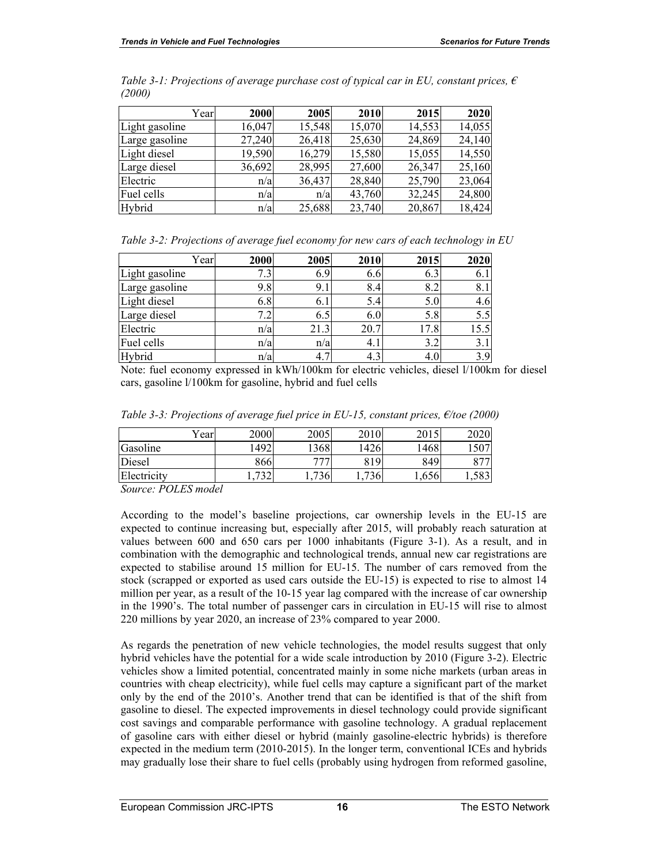| Year           | 2000   | 2005   | 2010   | 2015   | 2020   |
|----------------|--------|--------|--------|--------|--------|
| Light gasoline | 16,047 | 15,548 | 15,070 | 14,553 | 14,055 |
| Large gasoline | 27,240 | 26,418 | 25,630 | 24,869 | 24,140 |
| Light diesel   | 19,590 | 16,279 | 15,580 | 15,055 | 14,550 |
| Large diesel   | 36,692 | 28,995 | 27,600 | 26,347 | 25,160 |
| Electric       | n/a    | 36,437 | 28,840 | 25,790 | 23,064 |
| Fuel cells     | n/a    | n/a    | 43,760 | 32,245 | 24,800 |
| Hybrid         | n/a    | 25,688 | 23,740 | 20,867 | 18,424 |

*Table 3-1: Projections of average purchase cost of typical car in EU, constant prices, € (2000)* 

*Table 3-2: Projections of average fuel economy for new cars of each technology in EU* 

| Year           | 2000 | 2005     | 2010 | 2015 | 2020 |
|----------------|------|----------|------|------|------|
| Light gasoline | 7.3  | 6.9      | 6.6  | 6.3  | 6.1  |
| Large gasoline | 9.8  | 9.1      | 8.4  | 8.2  | 8.1  |
| Light diesel   | 6.8  | 6.1      | 5.4  | 5.0  | 4.6  |
| Large diesel   |      | 6.5      | 6.0  | 5.8  | 5.5  |
| Electric       | n/a  | 21.3     | 20.7 | 17.8 | 15.5 |
| Fuel cells     | n/a  | n/a      | 4.1  | 3.2  | 3.1  |
| Hybrid         | n/a  | 4.1<br>┑ | 4.3  | 4.0  | 3.9  |

Note: fuel economy expressed in kWh/100km for electric vehicles, diesel l/100km for diesel cars, gasoline l/100km for gasoline, hybrid and fuel cells

|             | $v_{\text{ear}}$ | 2000           | 2005 | 2010 | 2015 | 2020        |
|-------------|------------------|----------------|------|------|------|-------------|
| Gasoline    |                  | 1492           | 1368 | 1426 | 1468 | 1507        |
| Diesel      |                  | 866            | 777  | 819  | 849  | 0.77        |
| Electricity |                  | $\overline{ }$ | 736  | 736  | .656 | 702<br>1,00 |

*Table 3-3: Projections of average fuel price in EU-15, constant prices, €/toe (2000)* 

*Source: POLES model* 

According to the model's baseline projections, car ownership levels in the EU-15 are expected to continue increasing but, especially after 2015, will probably reach saturation at values between 600 and 650 cars per 1000 inhabitants (Figure 3-1). As a result, and in combination with the demographic and technological trends, annual new car registrations are expected to stabilise around 15 million for EU-15. The number of cars removed from the stock (scrapped or exported as used cars outside the EU-15) is expected to rise to almost 14 million per year, as a result of the 10-15 year lag compared with the increase of car ownership in the 1990's. The total number of passenger cars in circulation in EU-15 will rise to almost 220 millions by year 2020, an increase of 23% compared to year 2000.

As regards the penetration of new vehicle technologies, the model results suggest that only hybrid vehicles have the potential for a wide scale introduction by 2010 (Figure 3-2). Electric vehicles show a limited potential, concentrated mainly in some niche markets (urban areas in countries with cheap electricity), while fuel cells may capture a significant part of the market only by the end of the 2010's. Another trend that can be identified is that of the shift from gasoline to diesel. The expected improvements in diesel technology could provide significant cost savings and comparable performance with gasoline technology. A gradual replacement of gasoline cars with either diesel or hybrid (mainly gasoline-electric hybrids) is therefore expected in the medium term (2010-2015). In the longer term, conventional ICEs and hybrids may gradually lose their share to fuel cells (probably using hydrogen from reformed gasoline,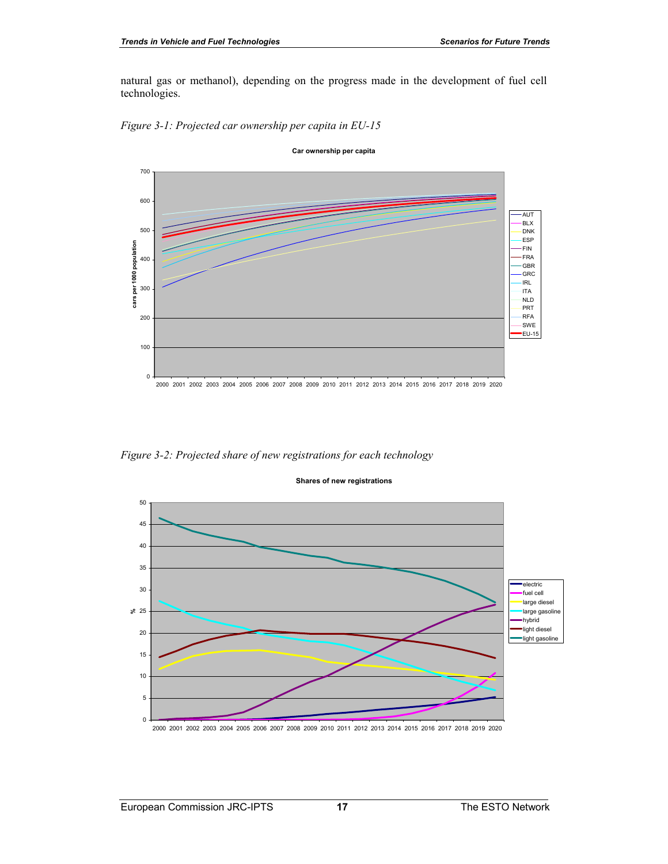natural gas or methanol), depending on the progress made in the development of fuel cell technologies.





**Car ownership per capita**

*Figure 3-2: Projected share of new registrations for each technology* 



#### **Shares of new registrations**

2000 2001 2002 2003 2004 2005 2006 2007 2008 2009 2010 2011 2012 2013 2014 2015 2016 2017 2018 2019 2020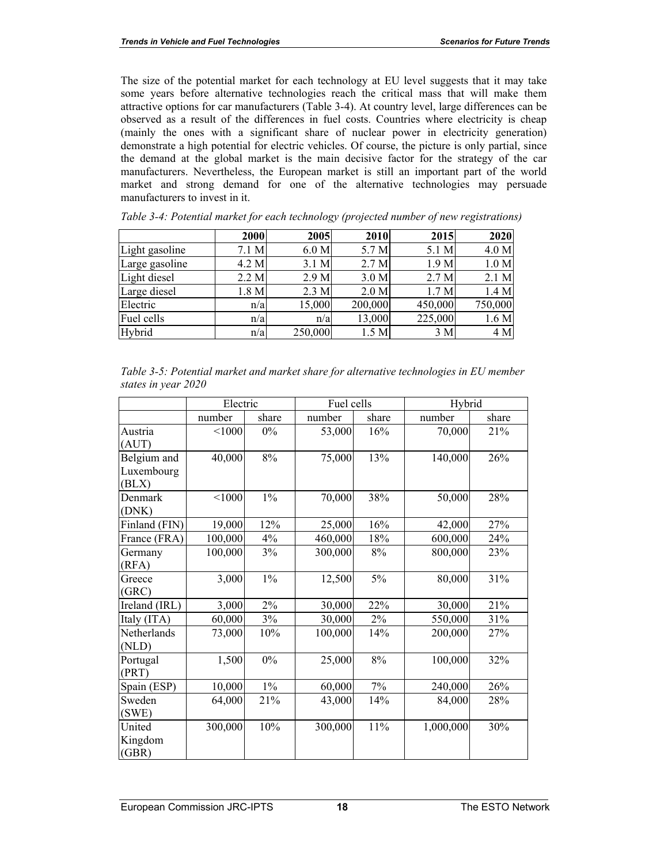The size of the potential market for each technology at EU level suggests that it may take some years before alternative technologies reach the critical mass that will make them attractive options for car manufacturers (Table 3-4). At country level, large differences can be observed as a result of the differences in fuel costs. Countries where electricity is cheap (mainly the ones with a significant share of nuclear power in electricity generation) demonstrate a high potential for electric vehicles. Of course, the picture is only partial, since the demand at the global market is the main decisive factor for the strategy of the car manufacturers. Nevertheless, the European market is still an important part of the world market and strong demand for one of the alternative technologies may persuade manufacturers to invest in it.

|                | 2000  | 2005    | 2010             | 2015             | 2020    |
|----------------|-------|---------|------------------|------------------|---------|
| Light gasoline | 7.1 M | 6.0 M   | 5.7 M            | 5.1 M            | 4.0 M   |
| Large gasoline | 4.2 M | 3.1 M   | 2.7 <sub>M</sub> | 1.9 <sub>M</sub> | 1.0 M   |
| Light diesel   | 2.2 M | 2.9 M   | 3.0 M            | 2.7 <sub>M</sub> | 2.1 M   |
| Large diesel   | 1.8 M | 2.3 M   | 2.0 M            | 1.7 <sub>M</sub> | 1.4 M   |
| Electric       | n/a   | 15,000  | 200,000          | 450,000          | 750,000 |
| Fuel cells     | n/a   | n/a     | 13,000           | 225,000          | 1.6 M   |
| Hybrid         | n/a   | 250,000 | 1.5 M            | 3 M              | 4 M     |

*Table 3-4: Potential market for each technology (projected number of new registrations)* 

| Table 3-5: Potential market and market share for alternative technologies in EU member |  |  |
|----------------------------------------------------------------------------------------|--|--|
| states in year 2020                                                                    |  |  |

|               | Electric |       | Fuel cells |       | Hybrid    |       |
|---------------|----------|-------|------------|-------|-----------|-------|
|               | number   | share | number     | share | number    | share |
| Austria       | < 1000   | $0\%$ | 53,000     | 16%   | 70,000    | 21%   |
| (AUT)         |          |       |            |       |           |       |
| Belgium and   | 40,000   | 8%    | 75,000     | 13%   | 140,000   | 26%   |
| Luxembourg    |          |       |            |       |           |       |
| (BLX)         |          |       |            |       |           |       |
| Denmark       | < 1000   | $1\%$ | 70,000     | 38%   | 50,000    | 28%   |
| (DNK)         |          |       |            |       |           |       |
| Finland (FIN) | 19,000   | 12%   | 25,000     | 16%   | 42,000    | 27%   |
| France (FRA)  | 100,000  | 4%    | 460,000    | 18%   | 600,000   | 24%   |
| Germany       | 100,000  | 3%    | 300,000    | 8%    | 800,000   | 23%   |
| (RFA)         |          |       |            |       |           |       |
| Greece        | 3,000    | $1\%$ | 12,500     | 5%    | 80,000    | 31%   |
| (GRC)         |          |       |            |       |           |       |
| Ireland (IRL) | 3,000    | $2\%$ | 30,000     | 22%   | 30,000    | 21%   |
| Italy (ITA)   | 60,000   | 3%    | 30,000     | $2\%$ | 550,000   | 31%   |
| Netherlands   | 73,000   | 10%   | 100,000    | 14%   | 200,000   | 27%   |
| (NLD)         |          |       |            |       |           |       |
| Portugal      | 1,500    | $0\%$ | 25,000     | $8\%$ | 100,000   | 32%   |
| (PRT)         |          |       |            |       |           |       |
| Spain (ESP)   | 10,000   | $1\%$ | 60,000     | 7%    | 240,000   | 26%   |
| Sweden        | 64,000   | 21%   | 43,000     | 14%   | 84,000    | 28%   |
| (SWE)         |          |       |            |       |           |       |
| United        | 300,000  | 10%   | 300,000    | 11%   | 1,000,000 | 30%   |
| Kingdom       |          |       |            |       |           |       |
| (GBR)         |          |       |            |       |           |       |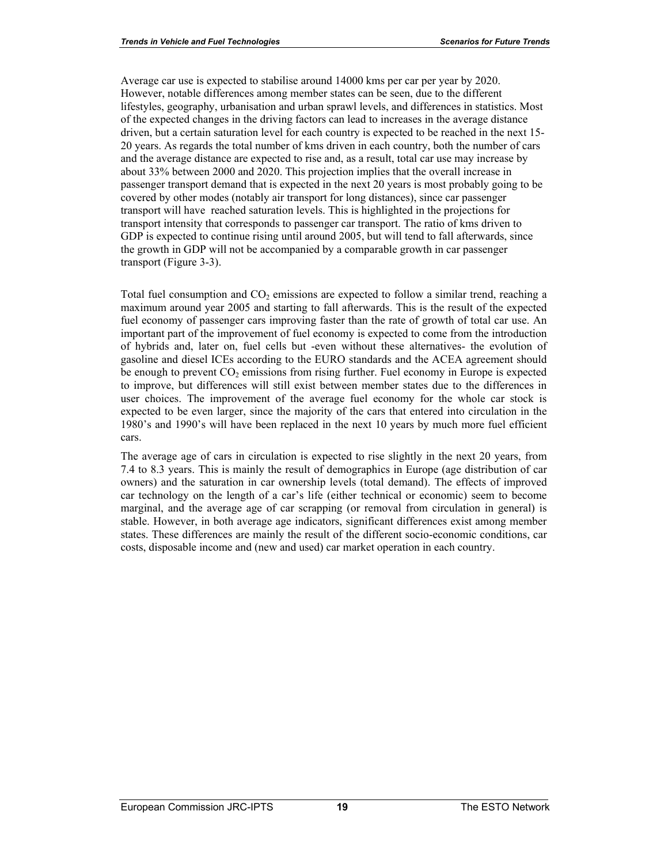Average car use is expected to stabilise around 14000 kms per car per year by 2020. However, notable differences among member states can be seen, due to the different lifestyles, geography, urbanisation and urban sprawl levels, and differences in statistics. Most of the expected changes in the driving factors can lead to increases in the average distance driven, but a certain saturation level for each country is expected to be reached in the next 15- 20 years. As regards the total number of kms driven in each country, both the number of cars and the average distance are expected to rise and, as a result, total car use may increase by about 33% between 2000 and 2020. This projection implies that the overall increase in passenger transport demand that is expected in the next 20 years is most probably going to be covered by other modes (notably air transport for long distances), since car passenger transport will have reached saturation levels. This is highlighted in the projections for transport intensity that corresponds to passenger car transport. The ratio of kms driven to GDP is expected to continue rising until around 2005, but will tend to fall afterwards, since the growth in GDP will not be accompanied by a comparable growth in car passenger transport (Figure 3-3).

Total fuel consumption and  $CO<sub>2</sub>$  emissions are expected to follow a similar trend, reaching a maximum around year 2005 and starting to fall afterwards. This is the result of the expected fuel economy of passenger cars improving faster than the rate of growth of total car use. An important part of the improvement of fuel economy is expected to come from the introduction of hybrids and, later on, fuel cells but -even without these alternatives- the evolution of gasoline and diesel ICEs according to the EURO standards and the ACEA agreement should be enough to prevent  $CO<sub>2</sub>$  emissions from rising further. Fuel economy in Europe is expected to improve, but differences will still exist between member states due to the differences in user choices. The improvement of the average fuel economy for the whole car stock is expected to be even larger, since the majority of the cars that entered into circulation in the 1980's and 1990's will have been replaced in the next 10 years by much more fuel efficient cars.

The average age of cars in circulation is expected to rise slightly in the next 20 years, from 7.4 to 8.3 years. This is mainly the result of demographics in Europe (age distribution of car owners) and the saturation in car ownership levels (total demand). The effects of improved car technology on the length of a car's life (either technical or economic) seem to become marginal, and the average age of car scrapping (or removal from circulation in general) is stable. However, in both average age indicators, significant differences exist among member states. These differences are mainly the result of the different socio-economic conditions, car costs, disposable income and (new and used) car market operation in each country.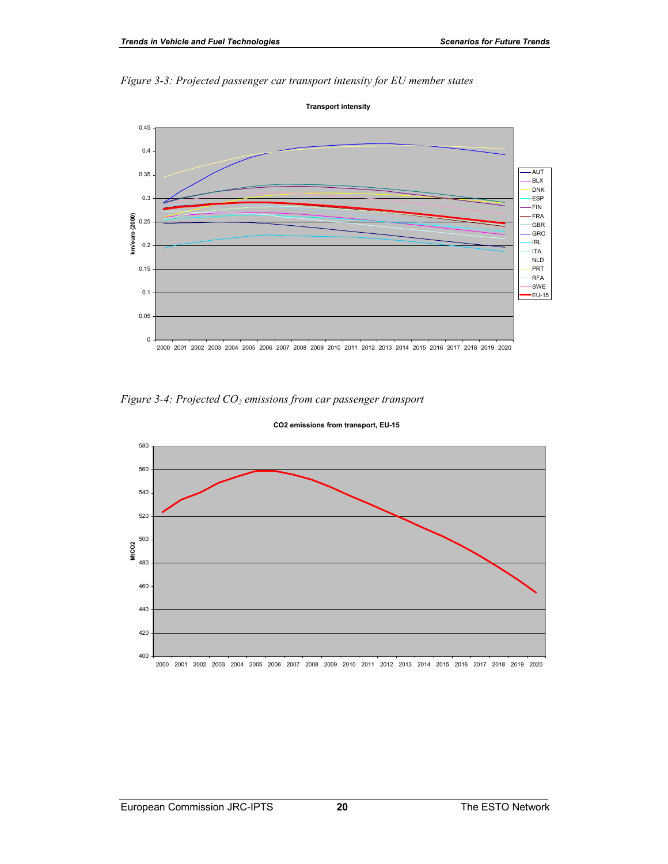



*Figure 3-4: Projected CO2 emissions from car passenger transport* 



#### **CO2 emissions from transport, EU-15**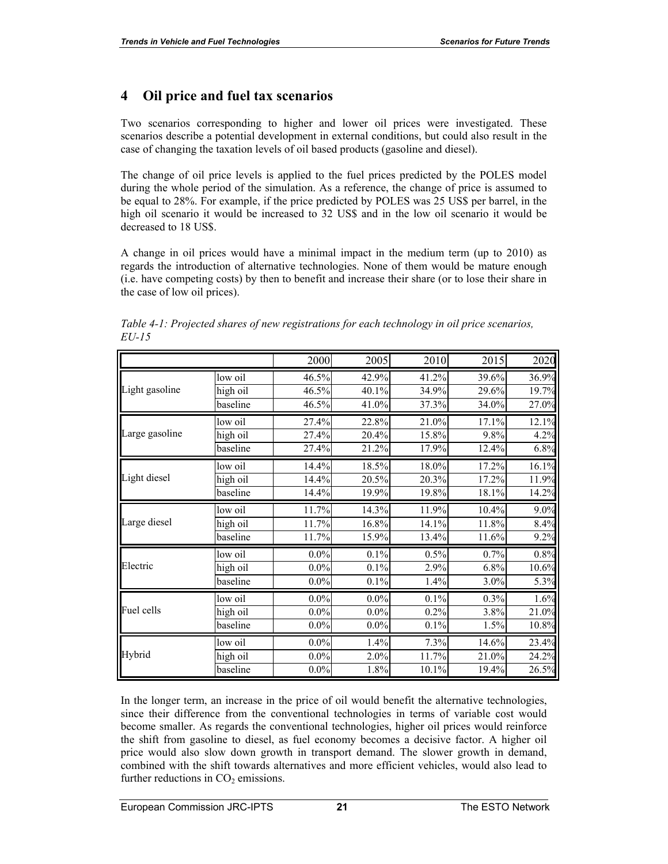## **4 Oil price and fuel tax scenarios**

Two scenarios corresponding to higher and lower oil prices were investigated. These scenarios describe a potential development in external conditions, but could also result in the case of changing the taxation levels of oil based products (gasoline and diesel).

The change of oil price levels is applied to the fuel prices predicted by the POLES model during the whole period of the simulation. As a reference, the change of price is assumed to be equal to 28%. For example, if the price predicted by POLES was 25 US\$ per barrel, in the high oil scenario it would be increased to 32 US\$ and in the low oil scenario it would be decreased to 18 US\$.

A change in oil prices would have a minimal impact in the medium term (up to 2010) as regards the introduction of alternative technologies. None of them would be mature enough (i.e. have competing costs) by then to benefit and increase their share (or to lose their share in the case of low oil prices).

|                |          | 2000    | 2005    | 2010  | 2015  | 2020  |
|----------------|----------|---------|---------|-------|-------|-------|
|                | low oil  | 46.5%   | 42.9%   | 41.2% | 39.6% | 36.9% |
| Light gasoline | high oil | 46.5%   | 40.1%   | 34.9% | 29.6% | 19.7% |
|                | baseline | 46.5%   | 41.0%   | 37.3% | 34.0% | 27.0% |
|                | low oil  | 27.4%   | 22.8%   | 21.0% | 17.1% | 12.1% |
| Large gasoline | high oil | 27.4%   | 20.4%   | 15.8% | 9.8%  | 4.2%  |
|                | baseline | 27.4%   | 21.2%   | 17.9% | 12.4% | 6.8%  |
|                | low oil  | 14.4%   | 18.5%   | 18.0% | 17.2% | 16.1% |
| Light diesel   | high oil | 14.4%   | 20.5%   | 20.3% | 17.2% | 11.9% |
|                | baseline | 14.4%   | 19.9%   | 19.8% | 18.1% | 14.2% |
|                | low oil  | 11.7%   | 14.3%   | 11.9% | 10.4% | 9.0%  |
| Large diesel   | high oil | 11.7%   | 16.8%   | 14.1% | 11.8% | 8.4%  |
|                | baseline | 11.7%   | 15.9%   | 13.4% | 11.6% | 9.2%  |
|                | low oil  | $0.0\%$ | 0.1%    | 0.5%  | 0.7%  | 0.8%  |
| Electric       | high oil | $0.0\%$ | 0.1%    | 2.9%  | 6.8%  | 10.6% |
|                | baseline | $0.0\%$ | 0.1%    | 1.4%  | 3.0%  | 5.3%  |
|                | low oil  | $0.0\%$ | $0.0\%$ | 0.1%  | 0.3%  | 1.6%  |
| Fuel cells     | high oil | $0.0\%$ | $0.0\%$ | 0.2%  | 3.8%  | 21.0% |
|                | baseline | $0.0\%$ | $0.0\%$ | 0.1%  | 1.5%  | 10.8% |
|                | low oil  | $0.0\%$ | 1.4%    | 7.3%  | 14.6% | 23.4% |
| Hybrid         | high oil | $0.0\%$ | 2.0%    | 11.7% | 21.0% | 24.2% |
|                | baseline | $0.0\%$ | 1.8%    | 10.1% | 19.4% | 26.5% |

*Table 4-1: Projected shares of new registrations for each technology in oil price scenarios, EU-15* 

In the longer term, an increase in the price of oil would benefit the alternative technologies, since their difference from the conventional technologies in terms of variable cost would become smaller. As regards the conventional technologies, higher oil prices would reinforce the shift from gasoline to diesel, as fuel economy becomes a decisive factor. A higher oil price would also slow down growth in transport demand. The slower growth in demand, combined with the shift towards alternatives and more efficient vehicles, would also lead to further reductions in  $CO<sub>2</sub>$  emissions.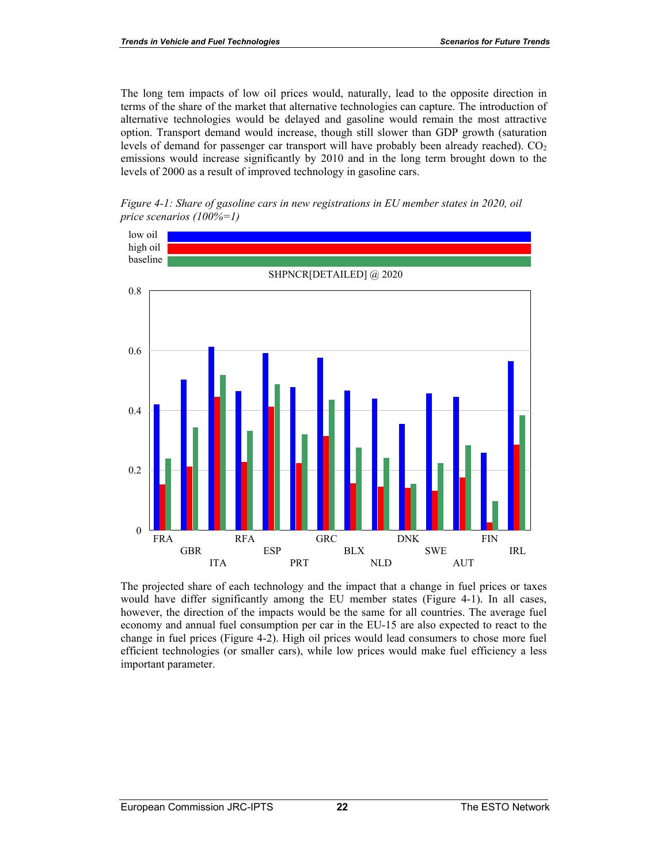The long tem impacts of low oil prices would, naturally, lead to the opposite direction in terms of the share of the market that alternative technologies can capture. The introduction of alternative technologies would be delayed and gasoline would remain the most attractive option. Transport demand would increase, though still slower than GDP growth (saturation levels of demand for passenger car transport will have probably been already reached).  $CO<sub>2</sub>$ emissions would increase significantly by 2010 and in the long term brought down to the levels of 2000 as a result of improved technology in gasoline cars.





The projected share of each technology and the impact that a change in fuel prices or taxes would have differ significantly among the EU member states (Figure 4-1). In all cases, however, the direction of the impacts would be the same for all countries. The average fuel economy and annual fuel consumption per car in the EU-15 are also expected to react to the change in fuel prices (Figure 4-2). High oil prices would lead consumers to chose more fuel efficient technologies (or smaller cars), while low prices would make fuel efficiency a less important parameter.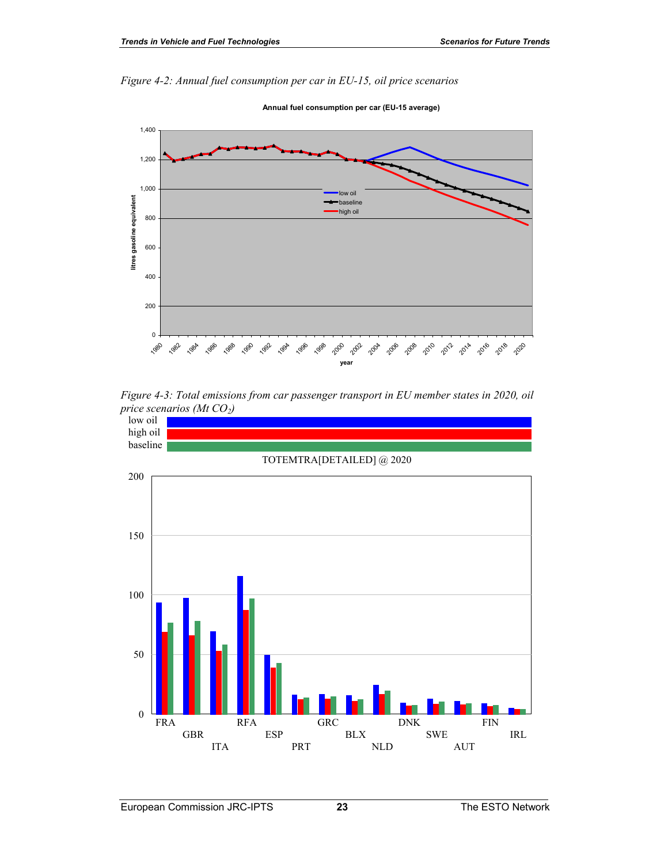*Figure 4-2: Annual fuel consumption per car in EU-15, oil price scenarios* 

**Annual fuel consumption per car (EU-15 average)**





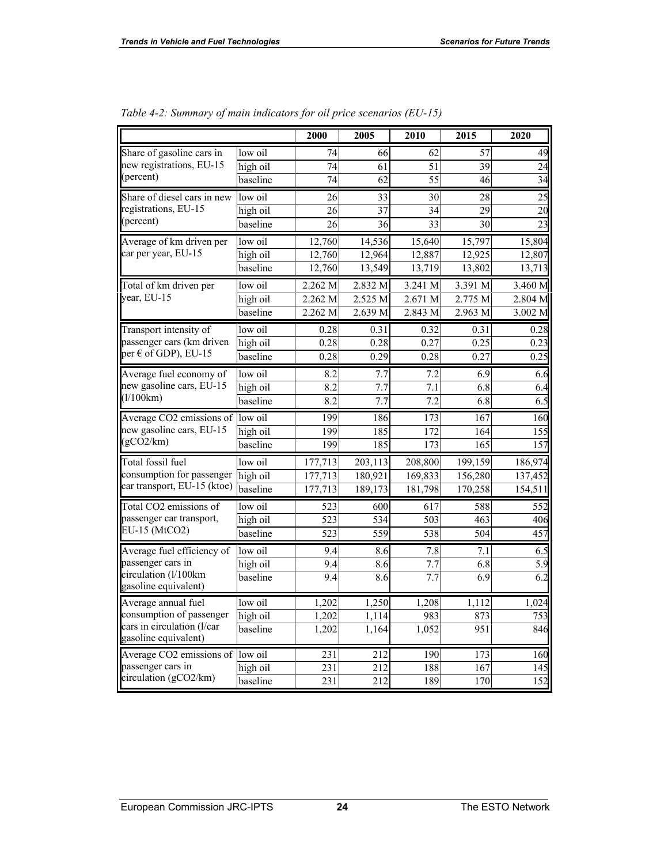|                                              |          | 2000             | 2005             | 2010             | 2015             | 2020             |
|----------------------------------------------|----------|------------------|------------------|------------------|------------------|------------------|
| Share of gasoline cars in                    | low oil  | 74               | 66               | 62               | $\overline{57}$  | 49               |
| new registrations, EU-15                     | high oil | 74               | 61               | 51               | 39               | 24               |
| (percent)                                    | baseline | $\overline{74}$  | $\overline{62}$  | $\overline{55}$  | $\overline{46}$  | 34               |
| Share of diesel cars in new                  | low oil  | 26               | 33               | 30               | 28               | 25               |
| registrations, EU-15                         | high oil | 26               | 37               | 34               | 29               | 20               |
| (percent)                                    | baseline | 26               | 36               | 33               | 30               | $\overline{23}$  |
| Average of km driven per                     | low oil  | 12,760           | 14,536           | 15,640           | 15,797           | 15,804           |
| car per year, EU-15                          | high oil | 12,760           | 12,964           | 12,887           | 12,925           | 12,807           |
|                                              | baseline | 12,760           | 13,549           | 13,719           | 13,802           | 13,713           |
| Total of km driven per                       | low oil  | 2.262 M          | 2.832 M          | 3.241 M          | 3.391 M          | 3.460 M          |
| year, EU-15                                  | high oil | 2.262 M          | 2.525 M          | 2.671 M          | 2.775 M          | 2.804 M          |
|                                              | baseline | 2.262 M          | 2.639 M          | 2.843 M          | 2.963 M          | 3.002 M          |
| Transport intensity of                       | low oil  | 0.28             | 0.31             | 0.32             | 0.31             | 0.28             |
| passenger cars (km driven                    | high oil | 0.28             | 0.28             | 0.27             | 0.25             | 0.23             |
| per $\epsilon$ of GDP), EU-15                | baseline | 0.28             | 0.29             | 0.28             | 0.27             | 0.25             |
| Average fuel economy of                      | low oil  | 8.2              | 7.7              | 7.2              | 6.9              | 6.6              |
| new gasoline cars, EU-15                     | high oil | 8.2              | 7.7              | 7.1              | 6.8              | 6.4              |
| (1/100km)                                    | baseline | 8.2              | 7.7              | $\overline{7.2}$ | 6.8              | $\overline{6.5}$ |
| Average CO2 emissions of                     | low oil  | 199              | 186              | 173              | 167              | 160              |
| new gasoline cars, EU-15                     | high oil | 199              | 185              | 172              | 164              | 155              |
| (gCO2/km)                                    | baseline | 199              | 185              | 173              | 165              | 15 <sub>1</sub>  |
| Total fossil fuel                            | low oil  | 177,713          | 203,113          | 208,800          | 199,159          | 186,974          |
| consumption for passenger                    | high oil | 177,713          | 180,921          | 169,833          | 156,280          | 137,452          |
| car transport, EU-15 (ktoe)                  | baseline | 177,713          | 189,173          | 181,798          | 170,258          | 154,511          |
| Total CO2 emissions of                       | low oil  | 523              | 600              | 617              | 588              | 552              |
| passenger car transport,                     | high oil | 523              | 534              | 503              | 463              | 406              |
| EU-15 (MtCO2)                                | baseline | 523              | 559              | 538              | $\overline{504}$ | 457              |
| Average fuel efficiency of                   | low oil  | 9.4              | 8.6              | 7.8              | 7.1              | 6.5              |
| passenger cars in                            | high oil | 9.4              | 8.6              | 7.7              | 6.8              | 5.9              |
| circulation (l/100km<br>gasoline equivalent) | baseline | 9.4              | 8.6              | 7.7              | 6.9              | 6.2              |
| Average annual fuel                          | low oil  | 1,202            | 1,250            | 1,208            | 1,112            | 1,024            |
| consumption of passenger                     | high oil | 1,202            | 1,114            | 983              | 873              | 753              |
| cars in circulation (l/car                   | baseline | 1,202            | 1,164            | 1,052            | 951              | 846              |
| gasoline equivalent)                         |          |                  |                  |                  |                  |                  |
| Average CO2 emissions of                     | low oil  | 231              | 212              | 190              | 173              | 160              |
| passenger cars in<br>circulation (gCO2/km)   | high oil | 231              | 212              | 188              | 167              | 145              |
|                                              | baseline | $\overline{231}$ | $\overline{212}$ | 189              | 170              | 152              |

| Table 4-2: Summary of main indicators for oil price scenarios (EU-15) |  |  |  |  |
|-----------------------------------------------------------------------|--|--|--|--|
|                                                                       |  |  |  |  |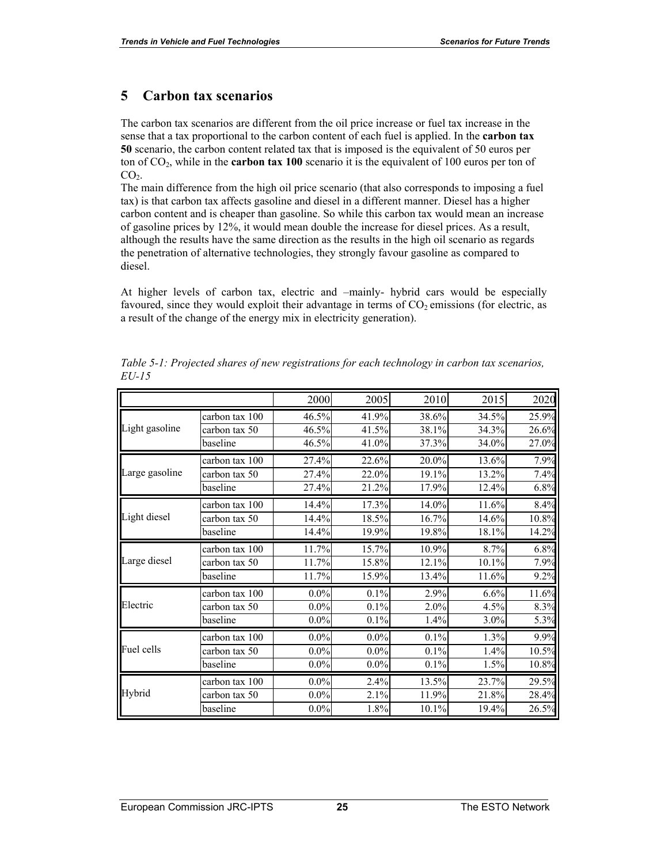## **5 Carbon tax scenarios**

The carbon tax scenarios are different from the oil price increase or fuel tax increase in the sense that a tax proportional to the carbon content of each fuel is applied. In the **carbon tax 50** scenario, the carbon content related tax that is imposed is the equivalent of 50 euros per ton of CO2, while in the **carbon tax 100** scenario it is the equivalent of 100 euros per ton of  $CO<sub>2</sub>$ .

The main difference from the high oil price scenario (that also corresponds to imposing a fuel tax) is that carbon tax affects gasoline and diesel in a different manner. Diesel has a higher carbon content and is cheaper than gasoline. So while this carbon tax would mean an increase of gasoline prices by 12%, it would mean double the increase for diesel prices. As a result, although the results have the same direction as the results in the high oil scenario as regards the penetration of alternative technologies, they strongly favour gasoline as compared to diesel.

At higher levels of carbon tax, electric and –mainly- hybrid cars would be especially favoured, since they would exploit their advantage in terms of  $CO<sub>2</sub>$  emissions (for electric, as a result of the change of the energy mix in electricity generation).

|                |                | 2000    | 2005    | 2010  | 2015    | 2020  |
|----------------|----------------|---------|---------|-------|---------|-------|
|                | carbon tax 100 | 46.5%   | 41.9%   | 38.6% | 34.5%   | 25.9% |
| Light gasoline | carbon tax 50  | 46.5%   | 41.5%   | 38.1% | 34.3%   | 26.6% |
|                | baseline       | 46.5%   | 41.0%   | 37.3% | 34.0%   | 27.0% |
|                | carbon tax 100 | 27.4%   | 22.6%   | 20.0% | 13.6%   | 7.9%  |
| Large gasoline | carbon tax 50  | 27.4%   | 22.0%   | 19.1% | 13.2%   | 7.4%  |
|                | baseline       | 27.4%   | 21.2%   | 17.9% | 12.4%   | 6.8%  |
|                | carbon tax 100 | 14.4%   | 17.3%   | 14.0% | 11.6%   | 8.4%  |
| Light diesel   | carbon tax 50  | 14.4%   | 18.5%   | 16.7% | 14.6%   | 10.8% |
|                | baseline       | 14.4%   | 19.9%   | 19.8% | 18.1%   | 14.2% |
|                | carbon tax 100 | 11.7%   | 15.7%   | 10.9% | 8.7%    | 6.8%  |
| Large diesel   | carbon tax 50  | 11.7%   | 15.8%   | 12.1% | 10.1%   | 7.9%  |
|                | baseline       | 11.7%   | 15.9%   | 13.4% | 11.6%   | 9.2%  |
|                | carbon tax 100 | $0.0\%$ | 0.1%    | 2.9%  | 6.6%    | 11.6% |
| Electric       | carbon tax 50  | $0.0\%$ | 0.1%    | 2.0%  | 4.5%    | 8.3%  |
|                | baseline       | $0.0\%$ | 0.1%    | 1.4%  | $3.0\%$ | 5.3%  |
|                | carbon tax 100 | $0.0\%$ | $0.0\%$ | 0.1%  | 1.3%    | 9.9%  |
| Fuel cells     | carbon tax 50  | $0.0\%$ | $0.0\%$ | 0.1%  | 1.4%    | 10.5% |
|                | baseline       | $0.0\%$ | $0.0\%$ | 0.1%  | 1.5%    | 10.8% |
|                | carbon tax 100 | $0.0\%$ | 2.4%    | 13.5% | 23.7%   | 29.5% |
| Hybrid         | carbon tax 50  | $0.0\%$ | 2.1%    | 11.9% | 21.8%   | 28.4% |
|                | baseline       | $0.0\%$ | 1.8%    | 10.1% | 19.4%   | 26.5% |

*Table 5-1: Projected shares of new registrations for each technology in carbon tax scenarios, EU-15*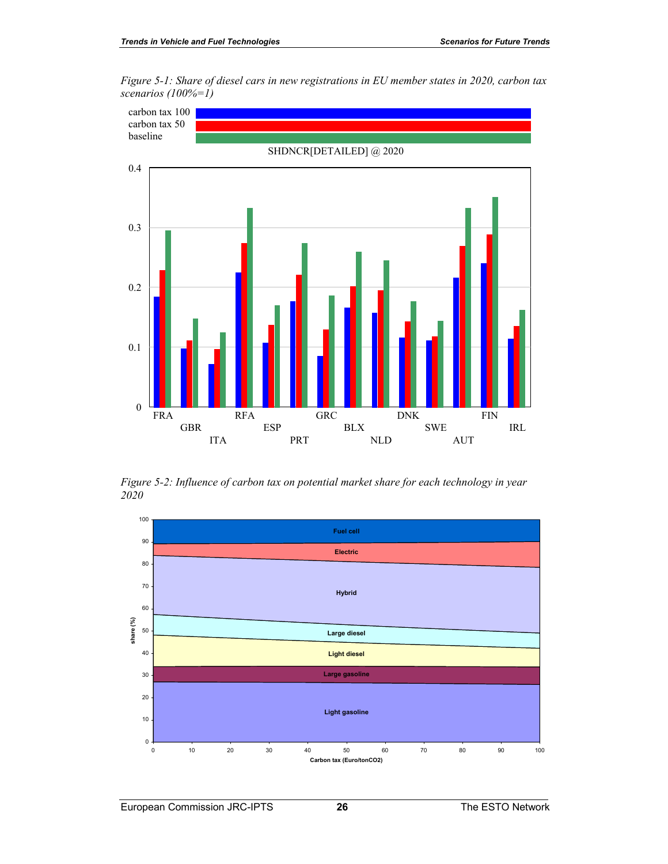*Figure 5-1: Share of diesel cars in new registrations in EU member states in 2020, carbon tax scenarios (100%=1)* 



*Figure 5-2: Influence of carbon tax on potential market share for each technology in year 2020* 

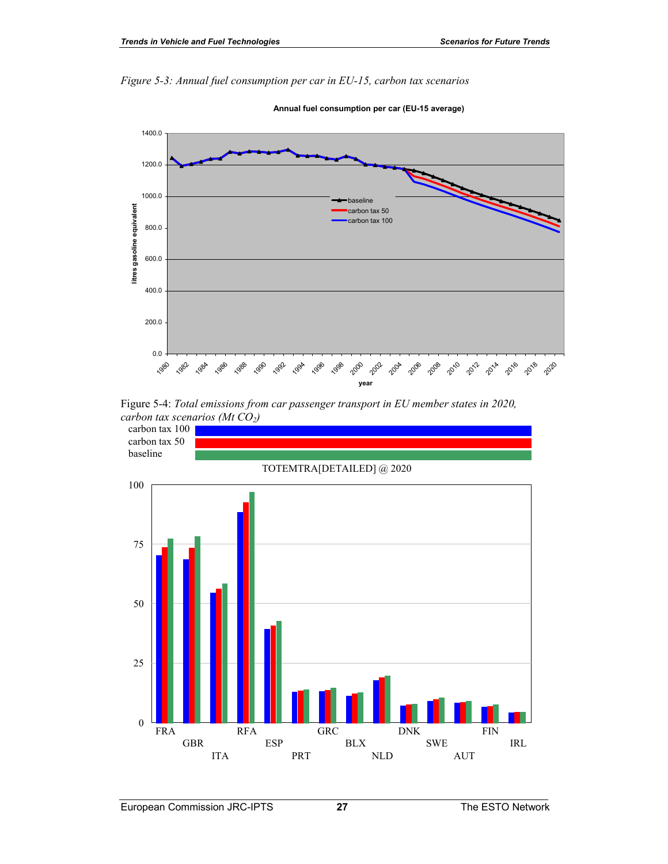*Figure 5-3: Annual fuel consumption per car in EU-15, carbon tax scenarios* 



**Annual fuel consumption per car (EU-15 average)**



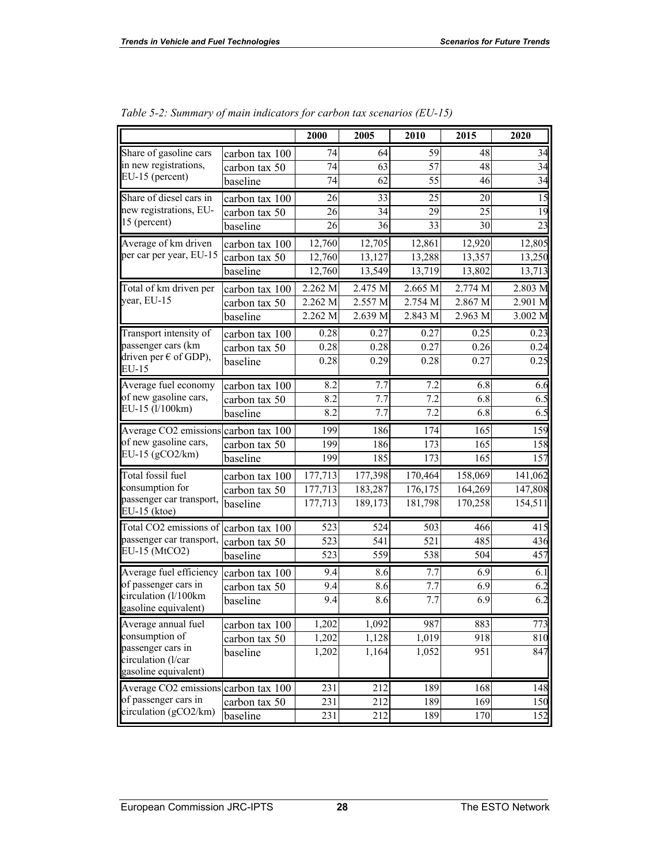г.

|                                                           |                | 2000    | 2005             | 2010    | 2015    | 2020    |
|-----------------------------------------------------------|----------------|---------|------------------|---------|---------|---------|
| Share of gasoline cars                                    | carbon tax 100 | 74      | 64               | 59      | 48      | 34      |
| in new registrations,                                     | carbon tax 50  | 74      | 63               | 57      | 48      | 34      |
| EU-15 (percent)                                           | baseline       | 74      | 62               | 55      | 46      | 34      |
| Share of diesel cars in                                   | carbon tax 100 | 26      | 33               | 25      | 20      | 15      |
| new registrations, EU-                                    | carbon tax 50  | 26      | 34               | 29      | 25      | 19      |
| 15 (percent)                                              | baseline       | 26      | 36               | 33      | 30      | 23      |
| Average of km driven                                      | carbon tax 100 | 12,760  | 12,705           | 12,861  | 12,920  | 12,805  |
| per car per year, EU-15                                   | carbon tax 50  | 12,760  | 13,127           | 13,288  | 13,357  | 13,250  |
|                                                           | baseline       | 12,760  | 13,549           | 13,719  | 13,802  | 13,713  |
| Total of km driven per                                    | carbon tax 100 | 2.262 M | 2.475 M          | 2.665 M | 2.774 M | 2.803 M |
| year, EU-15                                               | carbon tax 50  | 2.262 M | 2.557 M          | 2.754 M | 2.867 M | 2.901 M |
|                                                           | baseline       | 2.262 M | 2.639 M          | 2.843 M | 2.963 M | 3.002 M |
| Transport intensity of                                    | carbon tax 100 | 0.28    | 0.27             | 0.27    | 0.25    | 0.23    |
| passenger cars (km                                        | carbon tax 50  | 0.28    | 0.28             | 0.27    | 0.26    | 0.24    |
| driven per $\epsilon$ of GDP),<br>EU-15                   | baseline       | 0.28    | 0.29             | 0.28    | 0.27    | 0.25    |
| Average fuel economy                                      | carbon tax 100 | 8.2     | 7.7              | 7.2     | 6.8     | 6.6     |
| of new gasoline cars,<br>EU-15 (1/100km)                  | carbon tax 50  | 8.2     | 7.7              | 7.2     | 6.8     | 6.5     |
|                                                           | baseline       | 8.2     | 7.7              | 7.2     | 6.8     | 6.5     |
| Average CO2 emissions carbon tax 100                      |                | 199     | 186              | 174     | 165     | 159     |
| of new gasoline cars,                                     | carbon tax 50  | 199     | 186              | 173     | 165     | 158     |
| EU-15 ( $gCO2/km$ )                                       | baseline       | 199     | 185              | 173     | 165     | 157     |
| Total fossil fuel                                         | carbon tax 100 | 177,713 | 177,398          | 170,464 | 158,069 | 141,062 |
| consumption for                                           | carbon tax 50  | 177,713 | 183,287          | 176,175 | 164,269 | 147,808 |
| passenger car transport,<br>EU-15 (ktoe)                  | baseline       | 177,713 | 189,173          | 181,798 | 170,258 | 154,511 |
| Total CO2 emissions of                                    | carbon tax 100 | 523     | 524              | 503     | 466     | 415     |
| passenger car transport,                                  | carbon tax 50  | 523     | $\overline{541}$ | 521     | 485     | 436     |
| EU-15 (MtCO2)                                             | baseline       | 523     | 559              | 538     | 504     | 457     |
| Average fuel efficiency                                   | carbon tax 100 | 9.4     | 8.6              | 7.7     | 6.9     | 6.1     |
| of passenger cars in                                      | carbon tax 50  | 9.4     | 8.6              | 7.7     | 6.9     | 6.2     |
| circulation (l/100km<br>gasoline equivalent)              | baseline       | 9.4     | 8.6              | 7.7     | 6.9     | 6.2     |
| Average annual fuel                                       | carbon tax 100 | 1,202   | 1,092            | 987     | 883     | 773     |
| consumption of<br>passenger cars in<br>circulation (l/car | carbon tax 50  | 1,202   | 1,128            | 1,019   | 918     | 810     |
|                                                           | baseline       | 1,202   | 1,164            | 1,052   | 951     | 847     |
| gasoline equivalent)                                      |                |         |                  |         |         |         |
| Average CO2 emissions                                     | carbon tax 100 | 231     | 212              | 189     | 168     | 148     |
| of passenger cars in                                      | carbon tax 50  | 231     | 212              | 189     | 169     | 150     |
| circulation (gCO2/km)                                     | baseline       | 231     | 212              | 189     | 170     | 152     |

*Table 5-2: Summary of main indicators for carbon tax scenarios (EU-15)*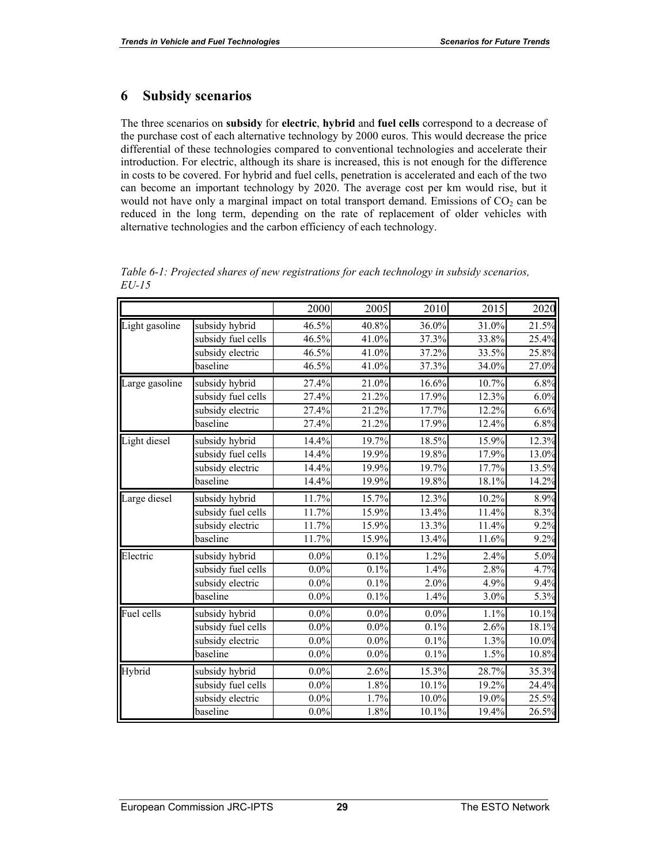#### **6 Subsidy scenarios**

The three scenarios on **subsidy** for **electric**, **hybrid** and **fuel cells** correspond to a decrease of the purchase cost of each alternative technology by 2000 euros. This would decrease the price differential of these technologies compared to conventional technologies and accelerate their introduction. For electric, although its share is increased, this is not enough for the difference in costs to be covered. For hybrid and fuel cells, penetration is accelerated and each of the two can become an important technology by 2020. The average cost per km would rise, but it would not have only a marginal impact on total transport demand. Emissions of  $CO<sub>2</sub>$  can be reduced in the long term, depending on the rate of replacement of older vehicles with alternative technologies and the carbon efficiency of each technology.

|                |                    | 2000    | 2005    | 2010     | 2015  | 2020  |
|----------------|--------------------|---------|---------|----------|-------|-------|
| Light gasoline | subsidy hybrid     | 46.5%   | 40.8%   | 36.0%    | 31.0% | 21.5% |
|                | subsidy fuel cells | 46.5%   | 41.0%   | 37.3%    | 33.8% | 25.4% |
|                | subsidy electric   | 46.5%   | 41.0%   | 37.2%    | 33.5% | 25.8% |
|                | baseline           | 46.5%   | 41.0%   | 37.3%    | 34.0% | 27.0% |
| Large gasoline | subsidy hybrid     | 27.4%   | 21.0%   | 16.6%    | 10.7% | 6.8%  |
|                | subsidy fuel cells | 27.4%   | 21.2%   | 17.9%    | 12.3% | 6.0%  |
|                | subsidy electric   | 27.4%   | 21.2%   | 17.7%    | 12.2% | 6.6%  |
|                | baseline           | 27.4%   | 21.2%   | 17.9%    | 12.4% | 6.8%  |
| Light diesel   | subsidy hybrid     | 14.4%   | 19.7%   | 18.5%    | 15.9% | 12.3% |
|                | subsidy fuel cells | 14.4%   | 19.9%   | 19.8%    | 17.9% | 13.0% |
|                | subsidy electric   | 14.4%   | 19.9%   | 19.7%    | 17.7% | 13.5% |
|                | baseline           | 14.4%   | 19.9%   | 19.8%    | 18.1% | 14.2% |
| Large diesel   | subsidy hybrid     | 11.7%   | 15.7%   | 12.3%    | 10.2% | 8.9%  |
|                | subsidy fuel cells | 11.7%   | 15.9%   | 13.4%    | 11.4% | 8.3%  |
|                | subsidy electric   | 11.7%   | 15.9%   | 13.3%    | 11.4% | 9.2%  |
|                | baseline           | 11.7%   | 15.9%   | 13.4%    | 11.6% | 9.2%  |
| Electric       | subsidy hybrid     | $0.0\%$ | 0.1%    | 1.2%     | 2.4%  | 5.0%  |
|                | subsidy fuel cells | $0.0\%$ | 0.1%    | 1.4%     | 2.8%  | 4.7%  |
|                | subsidy electric   | $0.0\%$ | 0.1%    | 2.0%     | 4.9%  | 9.4%  |
|                | baseline           | $0.0\%$ | 0.1%    | 1.4%     | 3.0%  | 5.3%  |
| Fuel cells     | subsidy hybrid     | $0.0\%$ | $0.0\%$ | $0.0\%$  | 1.1%  | 10.1% |
|                | subsidy fuel cells | $0.0\%$ | $0.0\%$ | 0.1%     | 2.6%  | 18.1% |
|                | subsidy electric   | $0.0\%$ | $0.0\%$ | 0.1%     | 1.3%  | 10.0% |
|                | baseline           | $0.0\%$ | $0.0\%$ | 0.1%     | 1.5%  | 10.8% |
| Hybrid         | subsidy hybrid     | $0.0\%$ | 2.6%    | 15.3%    | 28.7% | 35.3% |
|                | subsidy fuel cells | $0.0\%$ | 1.8%    | 10.1%    | 19.2% | 24.4% |
|                | subsidy electric   | $0.0\%$ | 1.7%    | $10.0\%$ | 19.0% | 25.5% |
|                | baseline           | $0.0\%$ | 1.8%    | 10.1%    | 19.4% | 26.5% |

*Table 6-1: Projected shares of new registrations for each technology in subsidy scenarios, EU-15*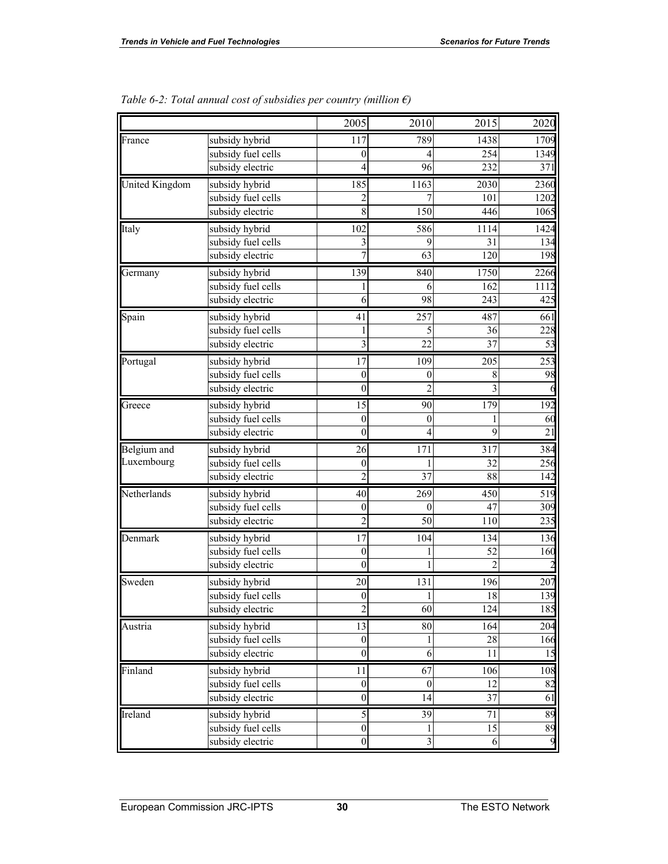|                       |                    | 2005             | 2010             | 2015            | 2020            |
|-----------------------|--------------------|------------------|------------------|-----------------|-----------------|
| France                | subsidy hybrid     | 117              | 789              | 1438            | 1709            |
|                       | subsidy fuel cells | $\theta$         | 4                | 254             | 1349            |
|                       | subsidy electric   | 4                | 96               | 232             | 371             |
| <b>United Kingdom</b> | subsidy hybrid     | 185              | 1163             | 2030            | 2360            |
|                       | subsidy fuel cells | 2                | 7                | 101             | 1202            |
|                       | subsidy electric   | 8                | 150              | 446             | 1065            |
| Italy                 | subsidy hybrid     | 102              | 586              | 1114            | 1424            |
|                       | subsidy fuel cells | 3                | 9                | 31              | 134             |
|                       | subsidy electric   |                  | 63               | 120             | 198             |
| Germany               | subsidy hybrid     | 139              | 840              | 1750            | 2266            |
|                       | subsidy fuel cells |                  | 6                | 162             | 1112            |
|                       | subsidy electric   | 6                | 98               | 243             | 425             |
| Spain                 | subsidy hybrid     | 41               | 257              | 487             | 661             |
|                       | subsidy fuel cells |                  | 5                | 36              | 228             |
|                       | subsidy electric   | 3                | 22               | $\overline{37}$ | 53              |
| Portugal              | subsidy hybrid     | 17               | 109              | 205             | 253             |
|                       | subsidy fuel cells | $\mathbf{0}$     | $\boldsymbol{0}$ | 8               | 98              |
|                       | subsidy electric   | $\mathbf{0}$     | $\mathfrak{D}$   | 3               |                 |
| Greece                | subsidy hybrid     | 15               | 90               | 179             | 192             |
|                       | subsidy fuel cells | $\theta$         | 0                |                 | 60              |
|                       | subsidy electric   | $\overline{0}$   | 4                | 9               | $\overline{21}$ |
| Belgium and           | subsidy hybrid     | 26               | 171              | 317             | 384             |
| Luxembourg            | subsidy fuel cells | 0                |                  | 32              | 256             |
|                       | subsidy electric   | $\overline{2}$   | 37               | 88              | 142             |
| Netherlands           | subsidy hybrid     | 40               | 269              | 450             | 519             |
|                       | subsidy fuel cells | $\boldsymbol{0}$ | $\theta$         | 47              | 309             |
|                       | subsidy electric   | $\mathfrak{D}$   | 50               | 110             | 235             |
| Denmark               | subsidy hybrid     | 17               | 104              | 134             | 136             |
|                       | subsidy fuel cells | $\mathbf{0}$     |                  | 52              | 160             |
|                       | subsidy electric   | $\overline{0}$   |                  | $\mathfrak{D}$  |                 |
| Sweden                | subsidy hybrid     | 20               | 131              | 196             | 207             |
|                       | subsidy fuel cells | $\Omega$         |                  | 18              | 139             |
|                       | subsidy electric   | $\overline{2}$   | 60               | 124             | 185             |
| Austria               | subsidy hybrid     | 13               | 80               | 164             | 204             |
|                       | subsidy fuel cells | $\boldsymbol{0}$ |                  | 28              | 166             |
|                       | subsidy electric   | $\mathbf{0}$     | 6                | 11              | 15              |
| Finland               | subsidy hybrid     | 11               | 67               | 106             | 108             |
|                       | subsidy fuel cells | $\boldsymbol{0}$ | $\mathbf{0}$     | 12              | 82              |
|                       | subsidy electric   | $\boldsymbol{0}$ | 14               | 37              | 61              |
| Ireland               | subsidy hybrid     | $\mathfrak s$    | 39               | 71              | 89              |
|                       | subsidy fuel cells | $\boldsymbol{0}$ | 1                | 15              | 89              |
|                       | subsidy electric   | $\boldsymbol{0}$ | 3                | 6               | 9               |

| Table 6-2: Total annual cost of subsidies per country (million $\epsilon$ ) |
|-----------------------------------------------------------------------------|
|-----------------------------------------------------------------------------|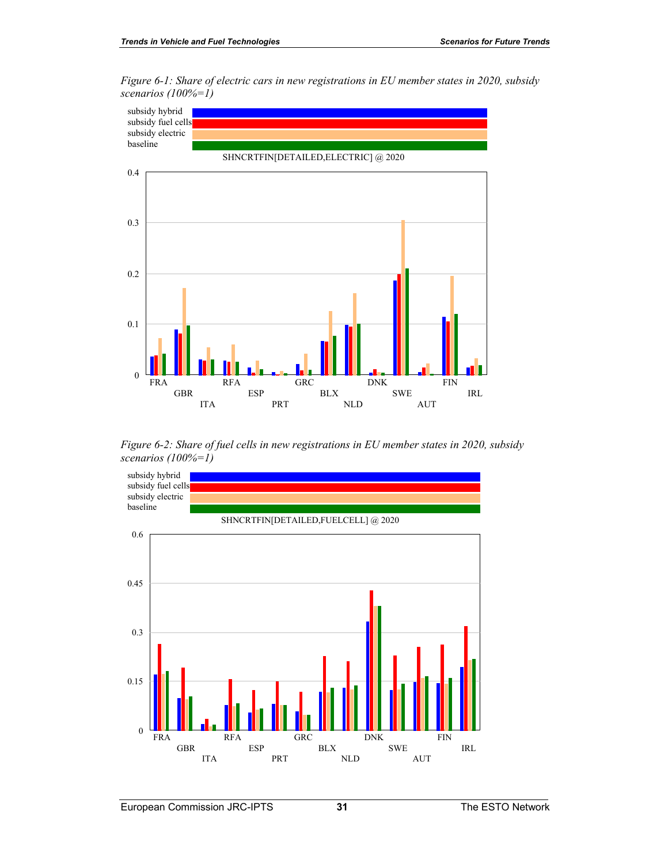*Figure 6-1: Share of electric cars in new registrations in EU member states in 2020, subsidy scenarios (100%=1)* 



*Figure 6-2: Share of fuel cells in new registrations in EU member states in 2020, subsidy scenarios (100%=1)* 

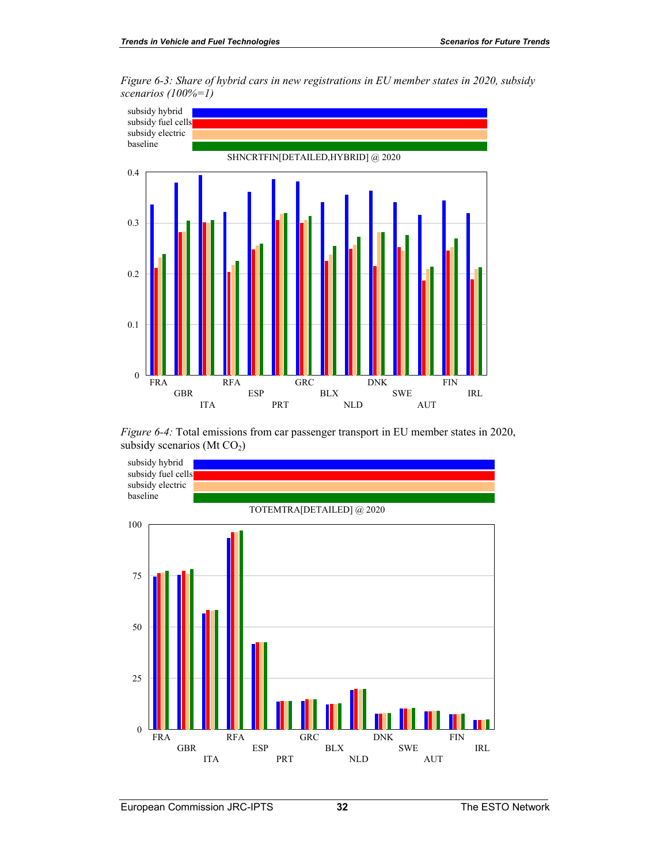



*Figure 6-4:* Total emissions from car passenger transport in EU member states in 2020, subsidy scenarios (Mt CO<sub>2</sub>)

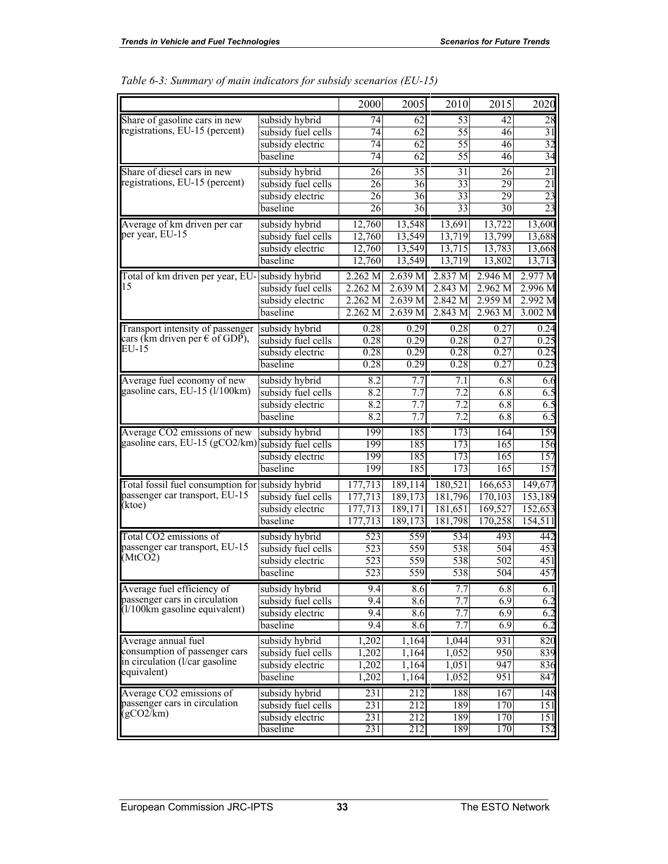|                                                  |                    | 2000            | 2005    | 2010             | 2015               | 2020            |
|--------------------------------------------------|--------------------|-----------------|---------|------------------|--------------------|-----------------|
| Share of gasoline cars in new                    | subsidy hybrid     | 74              | 62      | 53               | 42                 | 28              |
| registrations, EU-15 (percent)                   | subsidy fuel cells | 74              | 62      | 55               | 46                 | $\overline{31}$ |
|                                                  | subsidy electric   | 74              | 62      | 55               | 46                 | 32              |
|                                                  | baseline           | 74              | 62      | 55               | 46                 | 34              |
| Share of diesel cars in new                      | subsidy hybrid     | 26              | 35      | 31               | 26                 | 21              |
| registrations, EU-15 (percent)                   | subsidy fuel cells | $\overline{26}$ | 36      | $\overline{33}$  | 29                 | 21              |
|                                                  | subsidy electric   | 26              | 36      | 33               | 29                 | 23              |
|                                                  | baseline           | 26              | 36      | 33               | 30                 | $\overline{23}$ |
| Average of km driven per car                     | subsidy hybrid     | 12,760          | 13,548  | 13,691           | 13,722             | 13,600          |
| per year, EU-15                                  | subsidy fuel cells | 12,760          | 13,549  | 13,719           | 13,799             | 13,688          |
|                                                  | subsidy electric   | 12,760          | 13,549  | 13,715           | 13,783             | 13,668          |
|                                                  | baseline           | 12,760          | 13,549  | 13,719           | 13,802             | 13,713          |
| Total of km driven per year, EU-                 | subsidy hybrid     | 2.262 M         | 2.639 M | 2.837 M          | 2.946 M            | 2.977 M         |
| 15                                               | subsidy fuel cells | 2.262 M         | 2.639 M | 2.843 M          | 2.962 M            | 2.996 M         |
|                                                  | subsidy electric   | 2.262 M         | 2.639 M | 2.842 M          | 2.959 <sub>M</sub> | 2.992 M         |
|                                                  | baseline           | 2.262 M         | 2.639 M | 2.843 M          | 2.963 M            | 3.002 M         |
| Transport intensity of passenger                 | subsidy hybrid     | 0.28            | 0.29    | 0.28             | 0.27               | 0.24            |
| cars (km driven per $\epsilon$ of GDP),          | subsidy fuel cells | 0.28            | 0.29    | 0.28             | 0.27               | 0.25            |
| EU-15                                            | subsidy electric   | 0.28            | 0.29    | 0.28             | 0.27               | 0.25            |
|                                                  | baseline           | 0.28            | 0.29    | 0.28             | 0.27               | 0.25            |
| Average fuel economy of new                      | subsidy hybrid     | 8.2             | 7.7     | 7.1              | 6.8                | 6.6             |
| gasoline cars, EU-15 (1/100km)                   | subsidy fuel cells | 8.2             | 7.7     | 7.2              | 6.8                | 6.5             |
|                                                  | subsidy electric   | 8.2             | 7.7     | 7.2              | 6.8                | 6.5             |
|                                                  | baseline           | 8.2             | 7.7     | $\overline{7.2}$ | 6.8                | 6.5             |
| Average CO2 emissions of new                     | subsidy hybrid     | 199             | 185     | 173              | 164                | 159             |
| gasoline cars, EU-15 (gCO2/km)                   | subsidy fuel cells | 199             | 185     | 173              | 165                | 156             |
|                                                  | subsidy electric   | 199             | 185     | 173              | 165                | 157             |
|                                                  | baseline           | 199             | 185     | 173              | 165                | 157             |
| Total fossil fuel consumption for subsidy hybrid |                    | 177,713         | 189,114 | 180,521          | 166,653            | 149,677         |
| passenger car transport, EU-15                   | subsidy fuel cells | 177,713         | 189,173 | 181,796          | 170,103            | 153,189         |
| (ktoe)                                           | subsidy electric   | 177,713         | 189,171 | 181,651          | 169,527            | 152,653         |
|                                                  | baseline           | 177,713         | 189,173 | 181,798          | 170,258            | 154,511         |
| Total CO2 emissions of                           | subsidy hybrid     | 523             | 559     | 534              | 493                | 442             |
| passenger car transport, EU-15                   | subsidy fuel cells | 523             | 559     | 538              | 504                | 453             |
| (MtCO2)                                          | subsidy electric   | 523             | 559     | 538              | 502                | 451             |
|                                                  | baseline           | 523             | 559     | 538              | 504                | 457             |
| Average fuel efficiency of                       | subsidy hybrid     | 9.4             | 8.6     | 7.7              | 6.8                | 6.1             |
| passenger cars in circulation                    | subsidy fuel cells | 9.4             | 8.6     | 7.7              | 6.9                | 6.2             |
| (1/100km gasoline equivalent)                    | subsidy electric   | 9.4             | 8.6     | 7.7              | 6.9                | 6.2             |
|                                                  | baseline           | 9.4             | 8.6     | 7.7              | 6.9                | 6.2             |
| Average annual fuel                              | subsidy hybrid     | 1,202           | 1,164   | 1,044            | 931                | 820             |
| consumption of passenger cars                    | subsidy fuel cells | 1,202           | 1,164   | 1,052            | 950                | 839             |
| in circulation (l/car gasoline                   | subsidy electric   | 1,202           | 1,164   | 1,051            | 947                | 836             |
| equivalent)                                      | baseline           | 1,202           | 1,164   | 1,052            | 951                | 847             |
| Average CO2 emissions of                         | subsidy hybrid     | 231             | 212     | 188              | 167                | 148             |
| passenger cars in circulation                    | subsidy fuel cells | 231             | 212     | 189              | 170                | 151             |
| (gCO2/km)                                        | subsidy electric   | 231             | 212     | 189              | 170                | 151             |
|                                                  | baseline           | 231             | 212     | 189              | 170                | 152             |

|  | Table 6-3: Summary of main indicators for subsidy scenarios (EU-15) |  |  |  |  |  |  |  |
|--|---------------------------------------------------------------------|--|--|--|--|--|--|--|
|--|---------------------------------------------------------------------|--|--|--|--|--|--|--|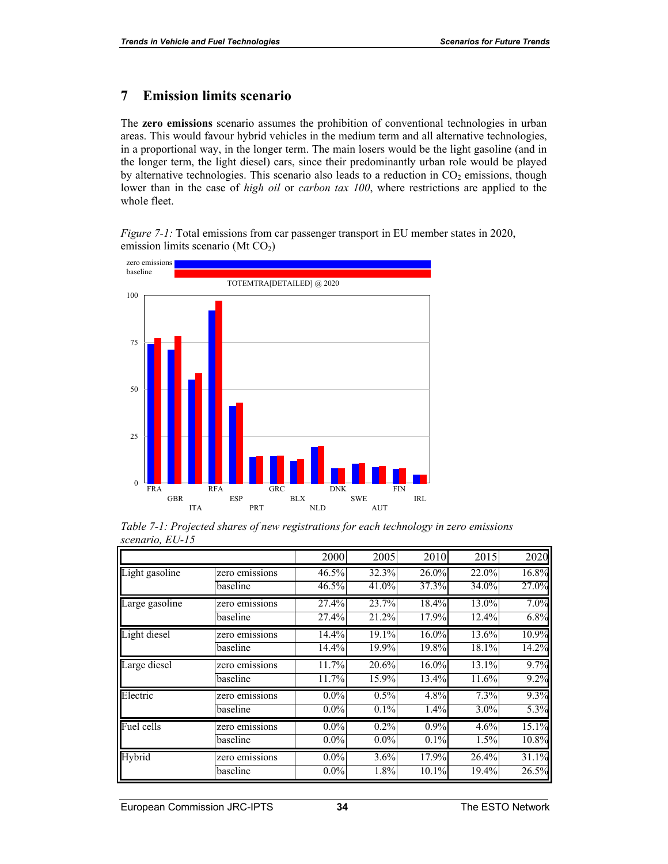## **7 Emission limits scenario**

The **zero emissions** scenario assumes the prohibition of conventional technologies in urban areas. This would favour hybrid vehicles in the medium term and all alternative technologies, in a proportional way, in the longer term. The main losers would be the light gasoline (and in the longer term, the light diesel) cars, since their predominantly urban role would be played by alternative technologies. This scenario also leads to a reduction in  $CO<sub>2</sub>$  emissions, though lower than in the case of *high oil* or *carbon tax 100*, where restrictions are applied to the whole fleet.

*Figure 7-1:* Total emissions from car passenger transport in EU member states in 2020, emission limits scenario (Mt CO<sub>2</sub>)



*Table 7-1: Projected shares of new registrations for each technology in zero emissions scenario, EU-15* 

|                |                | 2000    | 2005    | 2010    | 2015  | 2020  |
|----------------|----------------|---------|---------|---------|-------|-------|
| Light gasoline | zero emissions | 46.5%   | 32.3%   | 26.0%   | 22.0% | 16.8% |
|                | baseline       | 46.5%   | 41.0%   | 37.3%   | 34.0% | 27.0% |
| Large gasoline | zero emissions | 27.4%   | 23.7%   | 18.4%   | 13.0% | 7.0%  |
|                | baseline       | 27.4%   | 21.2%   | 17.9%   | 12.4% | 6.8%  |
| Light diesel   | zero emissions | 14.4%   | 19.1%   | 16.0%   | 13.6% | 10.9% |
|                | baseline       | 14.4%   | 19.9%   | 19.8%   | 18.1% | 14.2% |
| Large diesel   | zero emissions | 11.7%   | 20.6%   | 16.0%   | 13.1% | 9.7%  |
|                | baseline       | 11.7%   | 15.9%   | 13.4%   | 11.6% | 9.2%  |
| Electric       | zero emissions | $0.0\%$ | 0.5%    | 4.8%    | 7.3%  | 9.3%  |
|                | baseline       | $0.0\%$ | 0.1%    | 1.4%    | 3.0%  | 5.3%  |
| Fuel cells     | zero emissions | $0.0\%$ | $0.2\%$ | $0.9\%$ | 4.6%  | 15.1% |
|                | baseline       | $0.0\%$ | $0.0\%$ | 0.1%    | 1.5%  | 10.8% |
| Hybrid         | zero emissions | $0.0\%$ | 3.6%    | 17.9%   | 26.4% | 31.1% |
|                | baseline       | $0.0\%$ | 1.8%    | 10.1%   | 19.4% | 26.5% |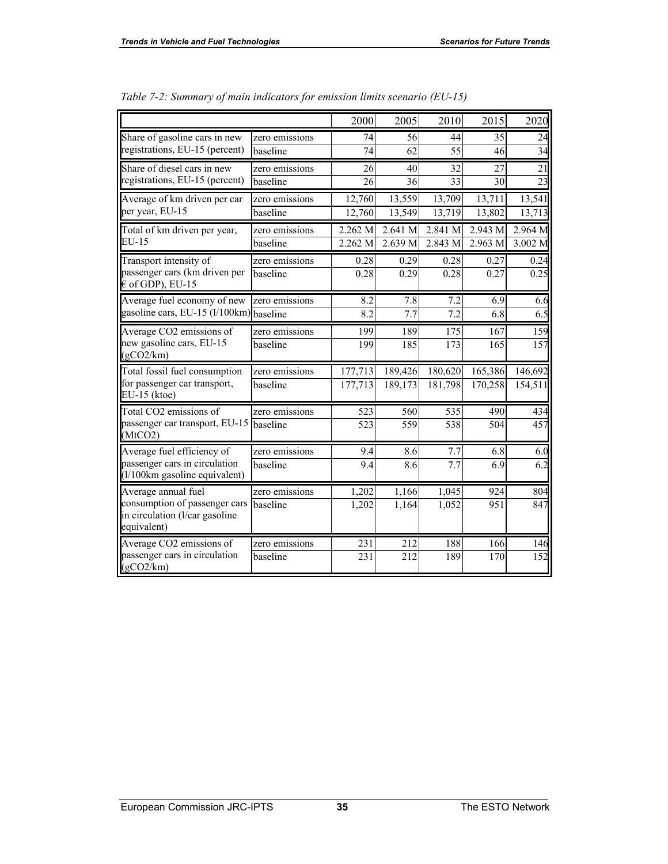|                                                                                |                | 2000    | 2005    | 2010             | 2015                | 2020            |
|--------------------------------------------------------------------------------|----------------|---------|---------|------------------|---------------------|-----------------|
| Share of gasoline cars in new                                                  | zero emissions | 74      | 56      | 44               | 35                  | 24              |
| registrations, EU-15 (percent)                                                 | baseline       | 74      | 62      | 55               | 46                  | $\overline{34}$ |
| Share of diesel cars in new                                                    | zero emissions | 26      | 40      | 32               | 27                  | 21              |
| registrations, EU-15 (percent)                                                 | baseline       | 26      | 36      | 33               | 30                  | $\overline{23}$ |
| Average of km driven per car                                                   | zero emissions | 12,760  | 13,559  | 13,709           | 13,711              | 13,541          |
| per year, EU-15                                                                | baseline       | 12,760  | 13,549  | 13,719           | $\overline{13,802}$ | 13,713          |
| Total of km driven per year,                                                   | zero emissions | 2.262 M | 2.641 M | 2.841 M          | 2.943 M             | 2.964 M         |
| EU-15                                                                          | baseline       | 2.262 M | 2.639 M | 2.843 M          | 2.963 M             | 3.002 M         |
| Transport intensity of                                                         | zero emissions | 0.28    | 0.29    | 0.28             | 0.27                | 0.24            |
| passenger cars (km driven per<br>$\epsilon$ of GDP), EU-15                     | baseline       | 0.28    | 0.29    | 0.28             | 0.27                | 0.25            |
| Average fuel economy of new                                                    | zero emissions | 8.2     | 7.8     | 7.2              | 6.9                 | 6.6             |
| gasoline cars, EU-15 (l/100km) baseline                                        |                | 8.2     | 7.7     | 7.2              | 6.8                 | 6.5             |
| Average CO2 emissions of                                                       | zero emissions | 199     | 189     | $\overline{175}$ | $\overline{167}$    | 159             |
| new gasoline cars, EU-15<br>(gCO2/km)                                          | baseline       | 199     | 185     | 173              | 165                 | 157             |
| Total fossil fuel consumption                                                  | zero emissions | 177,713 | 189,426 | 180,620          | 165,386             | 146,692         |
| for passenger car transport,<br>EU-15 (ktoe)                                   | baseline       | 177,713 | 189,173 | 181,798          | 170,258             | 154,511         |
| Total CO2 emissions of                                                         | zero emissions | 523     | 560     | 535              | 490                 | 434             |
| passenger car transport, EU-15<br>(MtCO2)                                      | baseline       | 523     | 559     | 538              | 504                 | 457             |
| Average fuel efficiency of                                                     | zero emissions | 9.4     | 8.6     | 7.7              | 6.8                 | 6.0             |
| passenger cars in circulation<br>(1/100km gasoline equivalent)                 | baseline       | 9.4     | 8.6     | 7.7              | 6.9                 | 6.2             |
| Average annual fuel                                                            | zero emissions | 1,202   | 1,166   | 1,045            | 924                 | 804             |
| consumption of passenger cars<br>in circulation (l/car gasoline<br>equivalent) | baseline       | 1,202   | 1,164   | 1,052            | 951                 | 847             |
| Average CO2 emissions of                                                       | zero emissions | 231     | 212     | 188              | 166                 | 146             |
| passenger cars in circulation<br>(gCO2/km)                                     | baseline       | 231     | 212     | 189              | 170                 | 152             |

| Table 7-2: Summary of main indicators for emission limits scenario (EU-15) |  |  |
|----------------------------------------------------------------------------|--|--|
|                                                                            |  |  |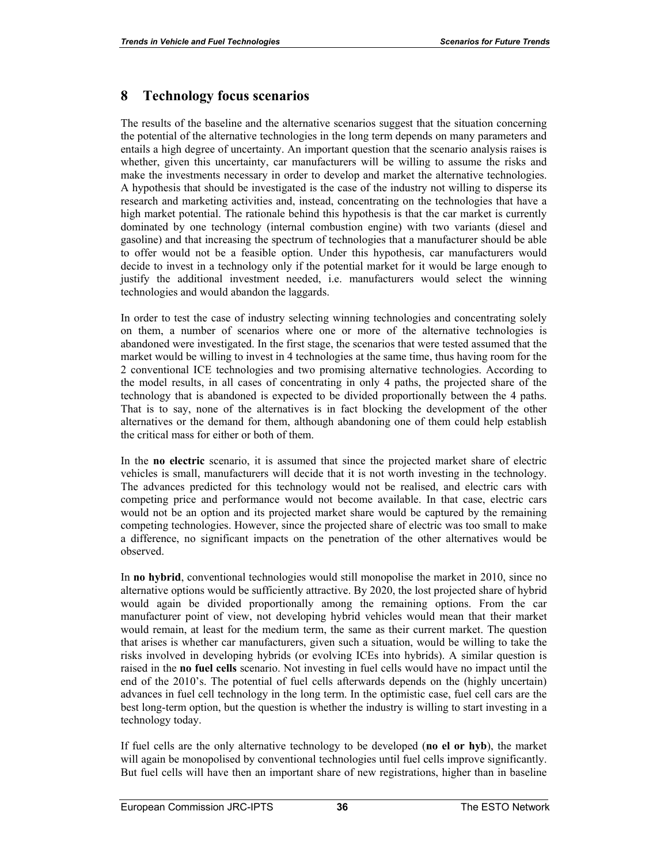## **8 Technology focus scenarios**

The results of the baseline and the alternative scenarios suggest that the situation concerning the potential of the alternative technologies in the long term depends on many parameters and entails a high degree of uncertainty. An important question that the scenario analysis raises is whether, given this uncertainty, car manufacturers will be willing to assume the risks and make the investments necessary in order to develop and market the alternative technologies. A hypothesis that should be investigated is the case of the industry not willing to disperse its research and marketing activities and, instead, concentrating on the technologies that have a high market potential. The rationale behind this hypothesis is that the car market is currently dominated by one technology (internal combustion engine) with two variants (diesel and gasoline) and that increasing the spectrum of technologies that a manufacturer should be able to offer would not be a feasible option. Under this hypothesis, car manufacturers would decide to invest in a technology only if the potential market for it would be large enough to justify the additional investment needed, i.e. manufacturers would select the winning technologies and would abandon the laggards.

In order to test the case of industry selecting winning technologies and concentrating solely on them, a number of scenarios where one or more of the alternative technologies is abandoned were investigated. In the first stage, the scenarios that were tested assumed that the market would be willing to invest in 4 technologies at the same time, thus having room for the 2 conventional ICE technologies and two promising alternative technologies. According to the model results, in all cases of concentrating in only 4 paths, the projected share of the technology that is abandoned is expected to be divided proportionally between the 4 paths. That is to say, none of the alternatives is in fact blocking the development of the other alternatives or the demand for them, although abandoning one of them could help establish the critical mass for either or both of them.

In the **no electric** scenario, it is assumed that since the projected market share of electric vehicles is small, manufacturers will decide that it is not worth investing in the technology. The advances predicted for this technology would not be realised, and electric cars with competing price and performance would not become available. In that case, electric cars would not be an option and its projected market share would be captured by the remaining competing technologies. However, since the projected share of electric was too small to make a difference, no significant impacts on the penetration of the other alternatives would be observed.

In **no hybrid**, conventional technologies would still monopolise the market in 2010, since no alternative options would be sufficiently attractive. By 2020, the lost projected share of hybrid would again be divided proportionally among the remaining options. From the car manufacturer point of view, not developing hybrid vehicles would mean that their market would remain, at least for the medium term, the same as their current market. The question that arises is whether car manufacturers, given such a situation, would be willing to take the risks involved in developing hybrids (or evolving ICEs into hybrids). A similar question is raised in the **no fuel cells** scenario. Not investing in fuel cells would have no impact until the end of the 2010's. The potential of fuel cells afterwards depends on the (highly uncertain) advances in fuel cell technology in the long term. In the optimistic case, fuel cell cars are the best long-term option, but the question is whether the industry is willing to start investing in a technology today.

If fuel cells are the only alternative technology to be developed (**no el or hyb**), the market will again be monopolised by conventional technologies until fuel cells improve significantly. But fuel cells will have then an important share of new registrations, higher than in baseline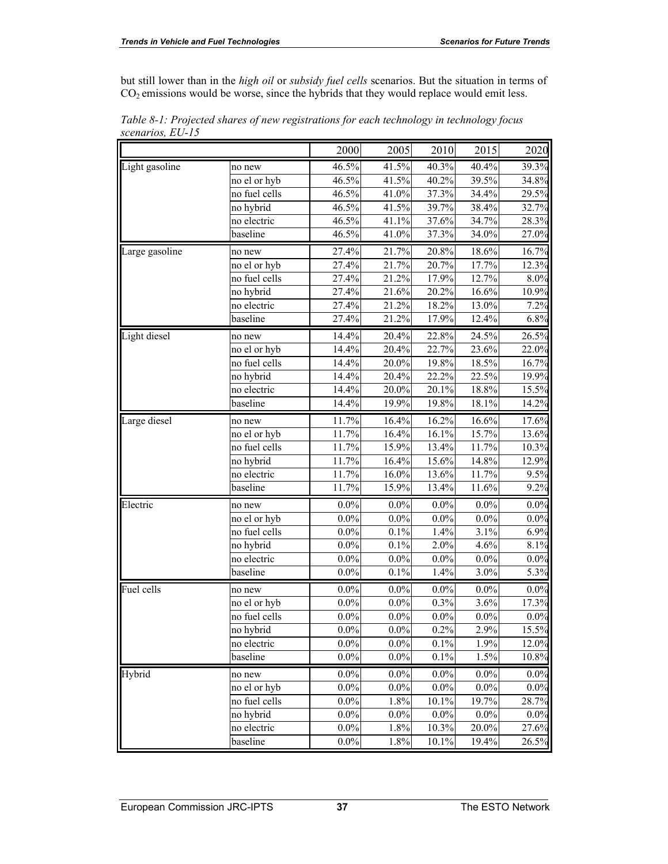but still lower than in the *high oil* or *subsidy fuel cells* scenarios. But the situation in terms of  $CO<sub>2</sub>$  emissions would be worse, since the hybrids that they would replace would emit less.

|                |               | 2000    | 2005    | 2010    | 2015     | 2020    |
|----------------|---------------|---------|---------|---------|----------|---------|
| Light gasoline | no new        | 46.5%   | 41.5%   | 40.3%   | 40.4%    | 39.3%   |
|                | no el or hyb  | 46.5%   | 41.5%   | 40.2%   | 39.5%    | 34.8%   |
|                | no fuel cells | 46.5%   | 41.0%   | 37.3%   | 34.4%    | 29.5%   |
|                | no hybrid     | 46.5%   | 41.5%   | 39.7%   | 38.4%    | 32.7%   |
|                | no electric   | 46.5%   | 41.1%   | 37.6%   | 34.7%    | 28.3%   |
|                | baseline      | 46.5%   | 41.0%   | 37.3%   | 34.0%    | 27.0%   |
| arge gasoline  | no new        | 27.4%   | 21.7%   | 20.8%   | 18.6%    | 16.7%   |
|                | no el or hyb  | 27.4%   | 21.7%   | 20.7%   | 17.7%    | 12.3%   |
|                | no fuel cells | 27.4%   | 21.2%   | 17.9%   | 12.7%    | 8.0%    |
|                | no hybrid     | 27.4%   | 21.6%   | 20.2%   | 16.6%    | 10.9%   |
|                | no electric   | 27.4%   | 21.2%   | 18.2%   | 13.0%    | 7.2%    |
|                | baseline      | 27.4%   | 21.2%   | 17.9%   | 12.4%    | 6.8%    |
| Light diesel   | no new        | 14.4%   | 20.4%   | 22.8%   | 24.5%    | 26.5%   |
|                | no el or hyb  | 14.4%   | 20.4%   | 22.7%   | 23.6%    | 22.0%   |
|                | no fuel cells | 14.4%   | 20.0%   | 19.8%   | 18.5%    | 16.7%   |
|                | no hybrid     | 14.4%   | 20.4%   | 22.2%   | $22.5\%$ | 19.9%   |
|                | no electric   | 14.4%   | 20.0%   | 20.1%   | 18.8%    | 15.5%   |
|                | baseline      | 14.4%   | 19.9%   | 19.8%   | 18.1%    | 14.2%   |
| Large diesel   | no new        | 11.7%   | 16.4%   | 16.2%   | 16.6%    | 17.6%   |
|                | no el or hyb  | 11.7%   | 16.4%   | 16.1%   | 15.7%    | 13.6%   |
|                | no fuel cells | 11.7%   | 15.9%   | 13.4%   | 11.7%    | 10.3%   |
|                | no hybrid     | 11.7%   | 16.4%   | 15.6%   | 14.8%    | 12.9%   |
|                | no electric   | 11.7%   | 16.0%   | 13.6%   | 11.7%    | 9.5%    |
|                | baseline      | 11.7%   | 15.9%   | 13.4%   | 11.6%    | 9.2%    |
| Electric       | no new        | $0.0\%$ | $0.0\%$ | $0.0\%$ | $0.0\%$  | $0.0\%$ |
|                | no el or hyb  | $0.0\%$ | $0.0\%$ | $0.0\%$ | $0.0\%$  | $0.0\%$ |
|                | no fuel cells | $0.0\%$ | 0.1%    | 1.4%    | 3.1%     | 6.9%    |
|                | no hybrid     | $0.0\%$ | 0.1%    | 2.0%    | 4.6%     | 8.1%    |
|                | no electric   | $0.0\%$ | $0.0\%$ | 0.0%    | $0.0\%$  | $0.0\%$ |
|                | baseline      | 0.0%    | 0.1%    | 1.4%    | 3.0%     | 5.3%    |
| Fuel cells     | no new        | $0.0\%$ | $0.0\%$ | $0.0\%$ | $0.0\%$  | $0.0\%$ |
|                | no el or hyb  | $0.0\%$ | $0.0\%$ | 0.3%    | 3.6%     | 17.3%   |
|                | no fuel cells | $0.0\%$ | $0.0\%$ | $0.0\%$ | $0.0\%$  | 0.0%    |
|                | no hybrid     | $0.0\%$ | $0.0\%$ | 0.2%    | 2.9%     | 15.5%   |
|                | no electric   | $0.0\%$ | $0.0\%$ | 0.1%    | 1.9%     | 12.0%   |
|                | baseline      | $0.0\%$ | $0.0\%$ | 0.1%    | 1.5%     | 10.8%   |
| Hybrid         | no new        | $0.0\%$ | $0.0\%$ | $0.0\%$ | $0.0\%$  | 0.0%    |
|                | no el or hyb  | $0.0\%$ | $0.0\%$ | $0.0\%$ | $0.0\%$  | $0.0\%$ |
|                | no fuel cells | $0.0\%$ | 1.8%    | 10.1%   | 19.7%    | 28.7%   |
|                | no hybrid     | $0.0\%$ | $0.0\%$ | $0.0\%$ | $0.0\%$  | 0.0%    |
|                | no electric   | $0.0\%$ | 1.8%    | 10.3%   | 20.0%    | 27.6%   |
|                | baseline      | $0.0\%$ | 1.8%    | 10.1%   | 19.4%    | 26.5%   |

*Table 8-1: Projected shares of new registrations for each technology in technology focus scenarios, EU-15*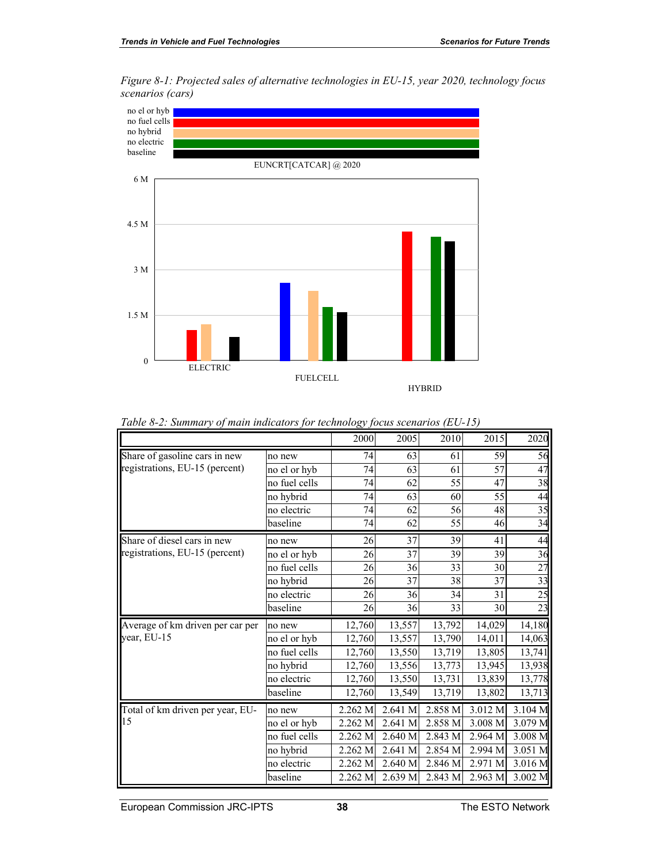*Figure 8-1: Projected sales of alternative technologies in EU-15, year 2020, technology focus scenarios (cars)* 



| 2005<br>2010<br>2015<br>2000<br>Share of gasoline cars in new<br>59<br>74<br>61<br>63<br>no new<br>registrations, EU-15 (percent)<br>57<br>74<br>63<br>61<br>no el or hyb<br>no fuel cells<br>55<br>47<br>74<br>62<br>no hybrid<br>63<br>55<br>74<br>60<br>56<br>62<br>48<br>no electric<br>74<br>baseline<br>55<br>74<br>62<br>46<br>Share of diesel cars in new<br>26<br>37<br>39<br>41<br>no new<br>registrations, EU-15 (percent)<br>37<br>26<br>39<br>39<br>no el or hyb<br>no fuel cells<br>36<br>33<br>30<br>26<br>37<br>37<br>26<br>38<br>no hybrid<br>no electric<br>26<br>36<br>34<br>31<br>33<br>baseline<br>26<br>36<br>30<br>13,557<br>13,792<br>14,029<br>Average of km driven per car per<br>12,760<br>no new<br>year, EU-15<br>13,557<br>13,790<br>no el or hyb<br>12,760<br>14,011<br>no fuel cells<br>13,719<br>12,760<br>13,550<br>13,805<br>no hybrid<br>13,556<br>13,773<br>13,945<br>12,760<br>no electric<br>13,731<br>12,760<br>13,550<br>13,839<br>baseline<br>13,549<br>13,719<br>12,760<br>13,802<br>3.012 M<br>2.262 M<br>2.641 M<br>2.858 M<br>Total of km driven per year, EU-<br>no new<br><b>115</b><br>2.858 M<br>3.008 M<br>2.262 M<br>2.641 M<br>no el or hyb<br>no fuel cells<br>2.262 M<br>2.640 M<br>2.843 M<br>2.964 M<br>2.641 M<br>no hybrid<br>2.262 M<br>2.854 M<br>2.994 M<br>2.640 M<br>2.846 M<br>2.971 M<br>no electric<br>2.262 M |  |  |  |         |
|-----------------------------------------------------------------------------------------------------------------------------------------------------------------------------------------------------------------------------------------------------------------------------------------------------------------------------------------------------------------------------------------------------------------------------------------------------------------------------------------------------------------------------------------------------------------------------------------------------------------------------------------------------------------------------------------------------------------------------------------------------------------------------------------------------------------------------------------------------------------------------------------------------------------------------------------------------------------------------------------------------------------------------------------------------------------------------------------------------------------------------------------------------------------------------------------------------------------------------------------------------------------------------------------------------------------------------------------------------------------------------------|--|--|--|---------|
|                                                                                                                                                                                                                                                                                                                                                                                                                                                                                                                                                                                                                                                                                                                                                                                                                                                                                                                                                                                                                                                                                                                                                                                                                                                                                                                                                                                   |  |  |  | 2020    |
|                                                                                                                                                                                                                                                                                                                                                                                                                                                                                                                                                                                                                                                                                                                                                                                                                                                                                                                                                                                                                                                                                                                                                                                                                                                                                                                                                                                   |  |  |  | 56      |
|                                                                                                                                                                                                                                                                                                                                                                                                                                                                                                                                                                                                                                                                                                                                                                                                                                                                                                                                                                                                                                                                                                                                                                                                                                                                                                                                                                                   |  |  |  | 47      |
|                                                                                                                                                                                                                                                                                                                                                                                                                                                                                                                                                                                                                                                                                                                                                                                                                                                                                                                                                                                                                                                                                                                                                                                                                                                                                                                                                                                   |  |  |  | 38      |
|                                                                                                                                                                                                                                                                                                                                                                                                                                                                                                                                                                                                                                                                                                                                                                                                                                                                                                                                                                                                                                                                                                                                                                                                                                                                                                                                                                                   |  |  |  | 44      |
|                                                                                                                                                                                                                                                                                                                                                                                                                                                                                                                                                                                                                                                                                                                                                                                                                                                                                                                                                                                                                                                                                                                                                                                                                                                                                                                                                                                   |  |  |  | 35      |
|                                                                                                                                                                                                                                                                                                                                                                                                                                                                                                                                                                                                                                                                                                                                                                                                                                                                                                                                                                                                                                                                                                                                                                                                                                                                                                                                                                                   |  |  |  | 34      |
|                                                                                                                                                                                                                                                                                                                                                                                                                                                                                                                                                                                                                                                                                                                                                                                                                                                                                                                                                                                                                                                                                                                                                                                                                                                                                                                                                                                   |  |  |  | 44      |
|                                                                                                                                                                                                                                                                                                                                                                                                                                                                                                                                                                                                                                                                                                                                                                                                                                                                                                                                                                                                                                                                                                                                                                                                                                                                                                                                                                                   |  |  |  | 36      |
|                                                                                                                                                                                                                                                                                                                                                                                                                                                                                                                                                                                                                                                                                                                                                                                                                                                                                                                                                                                                                                                                                                                                                                                                                                                                                                                                                                                   |  |  |  | 27      |
|                                                                                                                                                                                                                                                                                                                                                                                                                                                                                                                                                                                                                                                                                                                                                                                                                                                                                                                                                                                                                                                                                                                                                                                                                                                                                                                                                                                   |  |  |  | 33      |
|                                                                                                                                                                                                                                                                                                                                                                                                                                                                                                                                                                                                                                                                                                                                                                                                                                                                                                                                                                                                                                                                                                                                                                                                                                                                                                                                                                                   |  |  |  | 25      |
|                                                                                                                                                                                                                                                                                                                                                                                                                                                                                                                                                                                                                                                                                                                                                                                                                                                                                                                                                                                                                                                                                                                                                                                                                                                                                                                                                                                   |  |  |  | 23      |
|                                                                                                                                                                                                                                                                                                                                                                                                                                                                                                                                                                                                                                                                                                                                                                                                                                                                                                                                                                                                                                                                                                                                                                                                                                                                                                                                                                                   |  |  |  | 14,180  |
|                                                                                                                                                                                                                                                                                                                                                                                                                                                                                                                                                                                                                                                                                                                                                                                                                                                                                                                                                                                                                                                                                                                                                                                                                                                                                                                                                                                   |  |  |  | 14,063  |
|                                                                                                                                                                                                                                                                                                                                                                                                                                                                                                                                                                                                                                                                                                                                                                                                                                                                                                                                                                                                                                                                                                                                                                                                                                                                                                                                                                                   |  |  |  | 13,741  |
|                                                                                                                                                                                                                                                                                                                                                                                                                                                                                                                                                                                                                                                                                                                                                                                                                                                                                                                                                                                                                                                                                                                                                                                                                                                                                                                                                                                   |  |  |  | 13,938  |
|                                                                                                                                                                                                                                                                                                                                                                                                                                                                                                                                                                                                                                                                                                                                                                                                                                                                                                                                                                                                                                                                                                                                                                                                                                                                                                                                                                                   |  |  |  | 13,778  |
|                                                                                                                                                                                                                                                                                                                                                                                                                                                                                                                                                                                                                                                                                                                                                                                                                                                                                                                                                                                                                                                                                                                                                                                                                                                                                                                                                                                   |  |  |  | 13,713  |
|                                                                                                                                                                                                                                                                                                                                                                                                                                                                                                                                                                                                                                                                                                                                                                                                                                                                                                                                                                                                                                                                                                                                                                                                                                                                                                                                                                                   |  |  |  | 3.104 M |
|                                                                                                                                                                                                                                                                                                                                                                                                                                                                                                                                                                                                                                                                                                                                                                                                                                                                                                                                                                                                                                                                                                                                                                                                                                                                                                                                                                                   |  |  |  | 3.079 M |
|                                                                                                                                                                                                                                                                                                                                                                                                                                                                                                                                                                                                                                                                                                                                                                                                                                                                                                                                                                                                                                                                                                                                                                                                                                                                                                                                                                                   |  |  |  | 3.008 M |
|                                                                                                                                                                                                                                                                                                                                                                                                                                                                                                                                                                                                                                                                                                                                                                                                                                                                                                                                                                                                                                                                                                                                                                                                                                                                                                                                                                                   |  |  |  | 3.051 M |
|                                                                                                                                                                                                                                                                                                                                                                                                                                                                                                                                                                                                                                                                                                                                                                                                                                                                                                                                                                                                                                                                                                                                                                                                                                                                                                                                                                                   |  |  |  | 3.016 M |
| 2.963 M<br>2.262 M<br>2.639 M<br>2.843 M<br>baseline                                                                                                                                                                                                                                                                                                                                                                                                                                                                                                                                                                                                                                                                                                                                                                                                                                                                                                                                                                                                                                                                                                                                                                                                                                                                                                                              |  |  |  | 3.002 M |

*Table 8-2: Summary of main indicators for technology focus scenarios (EU-15)*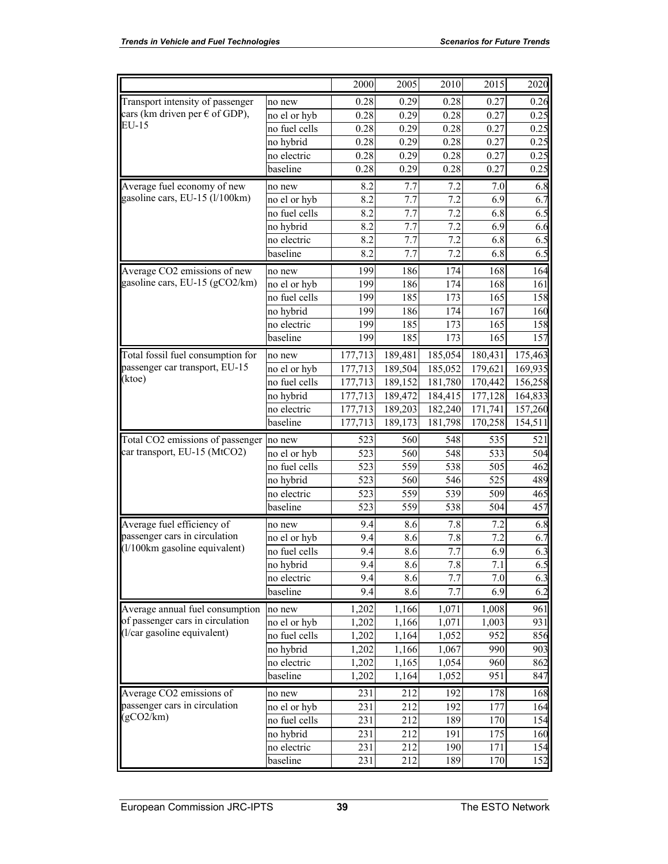|                                         |               | 2000    | 2005    | 2010    | 2015    | 2020    |
|-----------------------------------------|---------------|---------|---------|---------|---------|---------|
| Transport intensity of passenger        | no new        | 0.28    | 0.29    | 0.28    | 0.27    | 0.26    |
| cars (km driven per $\epsilon$ of GDP), | no el or hyb  | 0.28    | 0.29    | 0.28    | 0.27    | 0.25    |
| EU-15                                   | no fuel cells | 0.28    | 0.29    | 0.28    | 0.27    | 0.25    |
|                                         | no hybrid     | 0.28    | 0.29    | 0.28    | 0.27    | 0.25    |
|                                         | no electric   | 0.28    | 0.29    | 0.28    | 0.27    | 0.25    |
|                                         | baseline      | 0.28    | 0.29    | 0.28    | 0.27    | 0.25    |
| Average fuel economy of new             | no new        | 8.2     | 7.7     | 7.2     | 7.0     | 6.8     |
| gasoline cars, EU-15 (l/100km)          | no el or hyb  | 8.2     | 7.7     | 7.2     | 6.9     | 6.7     |
|                                         | no fuel cells | 8.2     | 7.7     | 7.2     | 6.8     | 6.5     |
|                                         | no hybrid     | 8.2     | 7.7     | 7.2     | 6.9     | 6.6     |
|                                         | no electric   | 8.2     | 7.7     | 7.2     | 6.8     | 6.5     |
|                                         | baseline      | 8.2     | 7.7     | 7.2     | 6.8     | 6.5     |
| Average CO2 emissions of new            | no new        | 199     | 186     | 174     | 168     | 164     |
| gasoline cars, EU-15 (gCO2/km)          | no el or hyb  | 199     | 186     | 174     | 168     | 161     |
|                                         | no fuel cells | 199     | 185     | 173     | 165     | 158     |
|                                         | no hybrid     | 199     | 186     | 174     | 167     | 160     |
|                                         | no electric   | 199     | 185     | 173     | 165     | 158     |
|                                         | baseline      | 199     | 185     | 173     | 165     | 157     |
| Total fossil fuel consumption for       | no new        | 177,713 | 189,481 | 185,054 | 180,431 | 175,463 |
| passenger car transport, EU-15          | no el or hyb  | 177,713 | 189,504 | 185,052 | 179,621 | 169,935 |
| (ktoe)                                  | no fuel cells | 177,713 | 189,152 | 181,780 | 170,442 | 156,258 |
|                                         | no hybrid     | 177,713 | 189,472 | 184,415 | 177,128 | 164,833 |
|                                         | no electric   | 177,713 | 189,203 | 182,240 | 171,741 | 157,260 |
|                                         | baseline      | 177,713 | 189,173 | 181,798 | 170,258 | 154,511 |
| Total CO2 emissions of passenger        | no new        | 523     | 560     | 548     | 535     | 521     |
| car transport, EU-15 (MtCO2)            | no el or hyb  | 523     | 560     | 548     | 533     | 504     |
|                                         | no fuel cells | 523     | 559     | 538     | 505     | 462     |
|                                         | no hybrid     | 523     | 560     | 546     | 525     | 489     |
|                                         | no electric   | 523     | 559     | 539     | 509     | 465     |
|                                         | baseline      | 523     | 559     | 538     | 504     | 457     |
| Average fuel efficiency of              | no new        | 9.4     | 8.6     | 7.8     | 7.2     | 6.8     |
| passenger cars in circulation           | no el or hyb  | 9.4     | 8.6     | 7.8     | 7.2     | 6.7     |
| (1/100km gasoline equivalent)           | no fuel cells | 9.4     | 8.6     | 7.7     | 6.9     | 6.3     |
|                                         | no hybrid     | 9.4     | 8.6     | 7.8     | 7.1     | 6.5     |
|                                         | no electric   | 9.4     | 8.6     | 7.7     | 7.0     | 6.3     |
|                                         | baseline      | 9.4     | 8.6     | 7.7     | 6.9     | 6.2     |
| Average annual fuel consumption         | no new        | 1,202   | 1,166   | 1,071   | 1,008   | 961     |
| of passenger cars in circulation        | no el or hyb  | 1,202   | 1,166   | 1,071   | 1,003   | 931     |
| (l/car gasoline equivalent)             | no fuel cells | 1,202   | 1,164   | 1,052   | 952     | 856     |
|                                         | no hybrid     | 1,202   | 1,166   | 1,067   | 990     | 903     |
|                                         | no electric   | 1,202   | 1,165   | 1,054   | 960     | 862     |
|                                         | baseline      | 1,202   | 1,164   | 1,052   | 951     | 847     |
| Average CO2 emissions of                | no new        | 231     | 212     | 192     | 178     | 168     |
| passenger cars in circulation           | no el or hyb  | 231     | 212     | 192     | 177     | 164     |
| (gCO2/km)                               | no fuel cells | 231     | 212     | 189     | 170     | 154     |
|                                         | no hybrid     | 231     | 212     | 191     | 175     | 160     |
|                                         | no electric   | 231     | 212     | 190     | 171     | 154     |
|                                         | baseline      | 231     | 212     | 189     | 170     | 152     |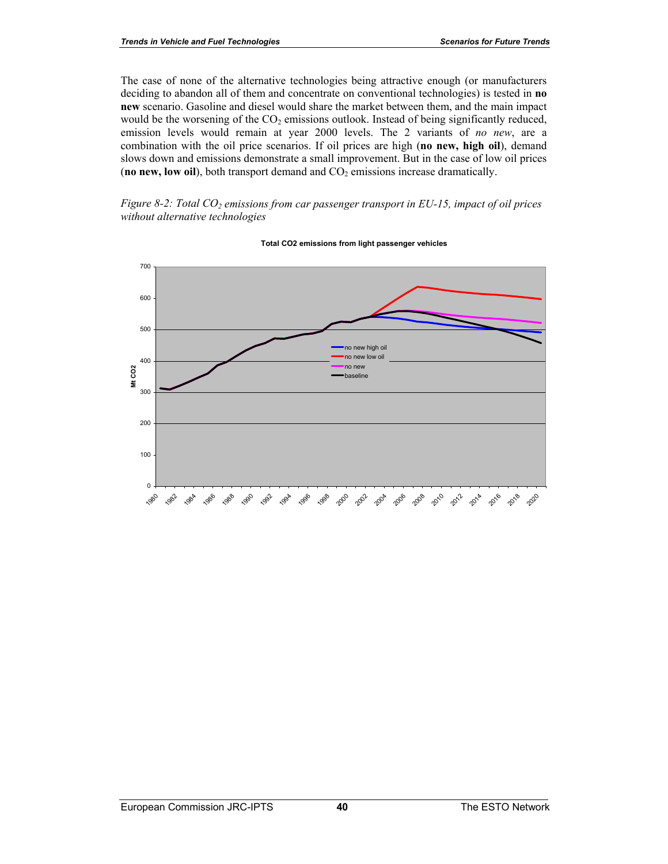The case of none of the alternative technologies being attractive enough (or manufacturers deciding to abandon all of them and concentrate on conventional technologies) is tested in **no new** scenario. Gasoline and diesel would share the market between them, and the main impact would be the worsening of the  $CO<sub>2</sub>$  emissions outlook. Instead of being significantly reduced, emission levels would remain at year 2000 levels. The 2 variants of *no new*, are a combination with the oil price scenarios. If oil prices are high (**no new, high oil**), demand slows down and emissions demonstrate a small improvement. But in the case of low oil prices (**no new, low oil**), both transport demand and  $CO<sub>2</sub>$  emissions increase dramatically.

*Figure 8-2: Total CO<sub>2</sub> emissions from car passenger transport in EU-15, impact of oil prices without alternative technologies* 



#### **Total CO2 emissions from light passenger vehicles**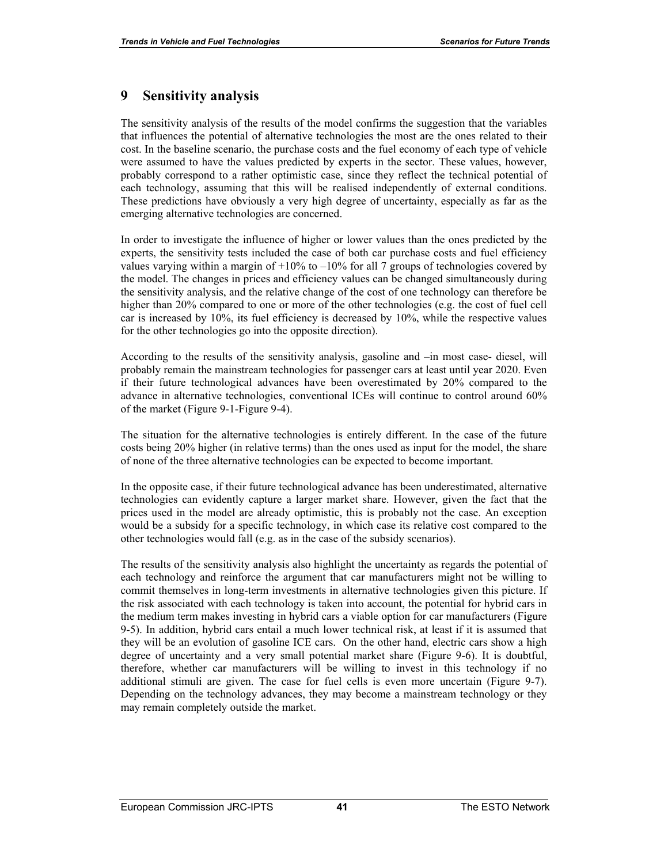## **9 Sensitivity analysis**

The sensitivity analysis of the results of the model confirms the suggestion that the variables that influences the potential of alternative technologies the most are the ones related to their cost. In the baseline scenario, the purchase costs and the fuel economy of each type of vehicle were assumed to have the values predicted by experts in the sector. These values, however, probably correspond to a rather optimistic case, since they reflect the technical potential of each technology, assuming that this will be realised independently of external conditions. These predictions have obviously a very high degree of uncertainty, especially as far as the emerging alternative technologies are concerned.

In order to investigate the influence of higher or lower values than the ones predicted by the experts, the sensitivity tests included the case of both car purchase costs and fuel efficiency values varying within a margin of  $+10\%$  to  $-10\%$  for all 7 groups of technologies covered by the model. The changes in prices and efficiency values can be changed simultaneously during the sensitivity analysis, and the relative change of the cost of one technology can therefore be higher than 20% compared to one or more of the other technologies (e.g. the cost of fuel cell car is increased by 10%, its fuel efficiency is decreased by 10%, while the respective values for the other technologies go into the opposite direction).

According to the results of the sensitivity analysis, gasoline and –in most case- diesel, will probably remain the mainstream technologies for passenger cars at least until year 2020. Even if their future technological advances have been overestimated by 20% compared to the advance in alternative technologies, conventional ICEs will continue to control around 60% of the market (Figure 9-1-Figure 9-4).

The situation for the alternative technologies is entirely different. In the case of the future costs being 20% higher (in relative terms) than the ones used as input for the model, the share of none of the three alternative technologies can be expected to become important.

In the opposite case, if their future technological advance has been underestimated, alternative technologies can evidently capture a larger market share. However, given the fact that the prices used in the model are already optimistic, this is probably not the case. An exception would be a subsidy for a specific technology, in which case its relative cost compared to the other technologies would fall (e.g. as in the case of the subsidy scenarios).

The results of the sensitivity analysis also highlight the uncertainty as regards the potential of each technology and reinforce the argument that car manufacturers might not be willing to commit themselves in long-term investments in alternative technologies given this picture. If the risk associated with each technology is taken into account, the potential for hybrid cars in the medium term makes investing in hybrid cars a viable option for car manufacturers (Figure 9-5). In addition, hybrid cars entail a much lower technical risk, at least if it is assumed that they will be an evolution of gasoline ICE cars. On the other hand, electric cars show a high degree of uncertainty and a very small potential market share (Figure 9-6). It is doubtful, therefore, whether car manufacturers will be willing to invest in this technology if no additional stimuli are given. The case for fuel cells is even more uncertain (Figure 9-7). Depending on the technology advances, they may become a mainstream technology or they may remain completely outside the market.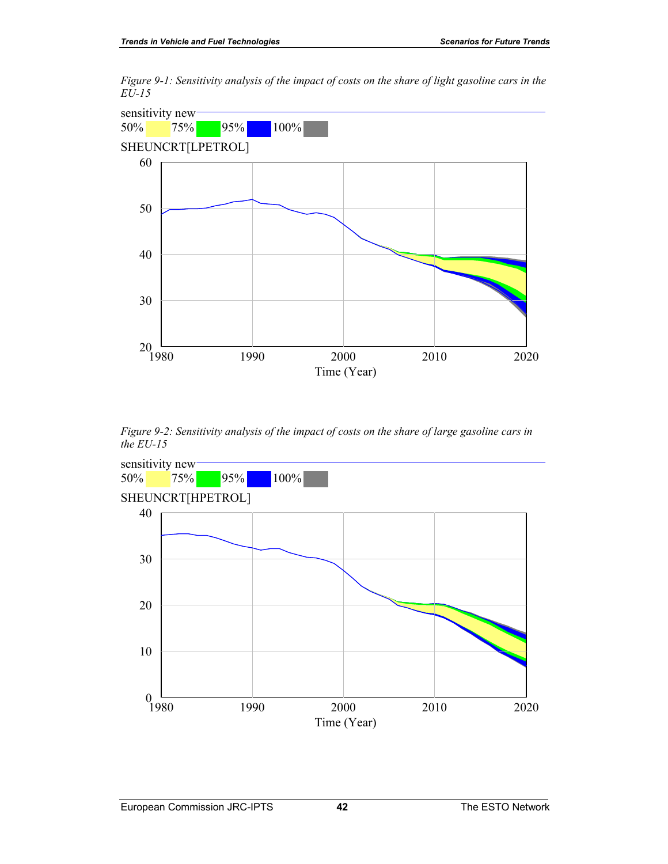*Figure 9-1: Sensitivity analysis of the impact of costs on the share of light gasoline cars in the EU-15* 



*Figure 9-2: Sensitivity analysis of the impact of costs on the share of large gasoline cars in the EU-15* 

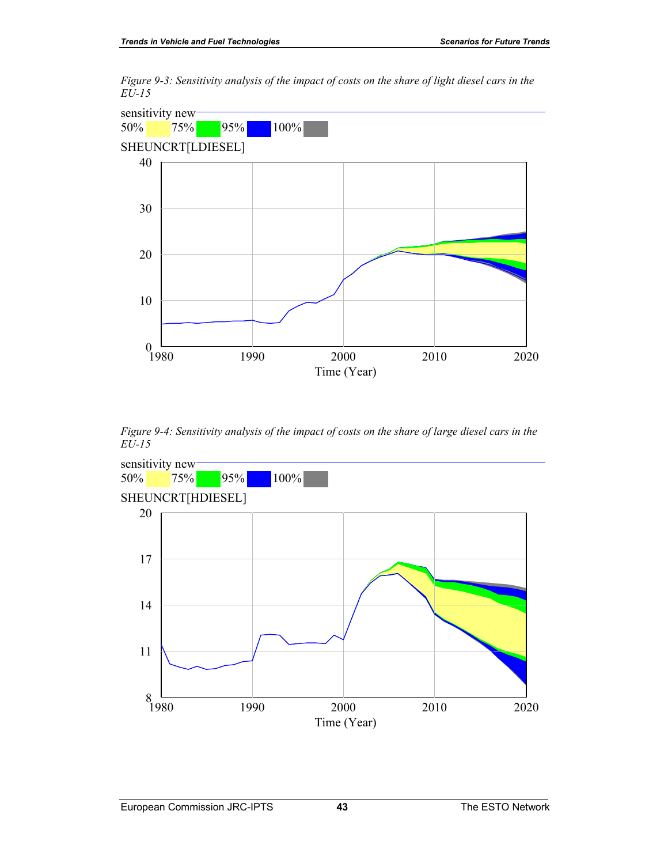*Figure 9-3: Sensitivity analysis of the impact of costs on the share of light diesel cars in the EU-15* 



*Figure 9-4: Sensitivity analysis of the impact of costs on the share of large diesel cars in the EU-15* 

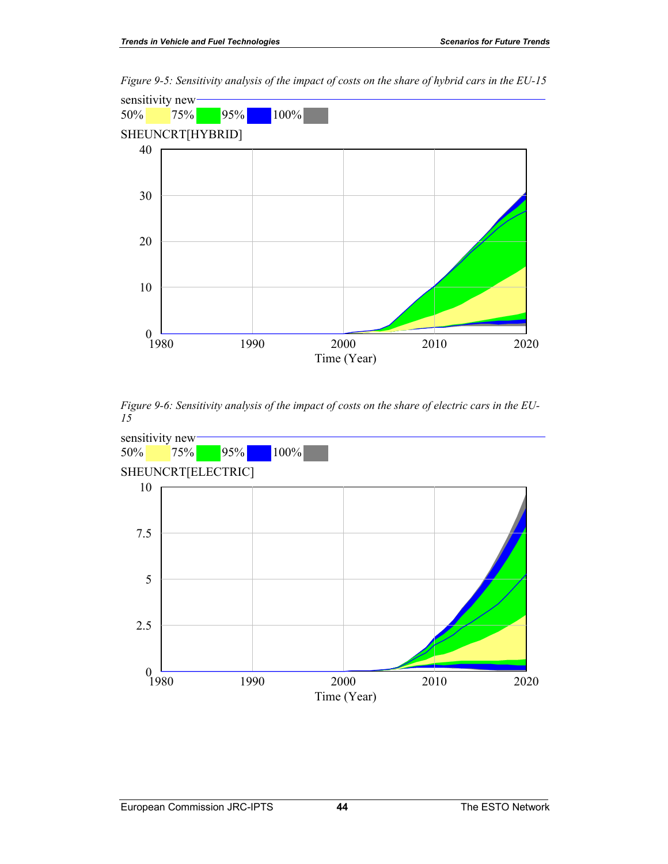

*Figure 9-5: Sensitivity analysis of the impact of costs on the share of hybrid cars in the EU-15* 

*Figure 9-6: Sensitivity analysis of the impact of costs on the share of electric cars in the EU-15* 

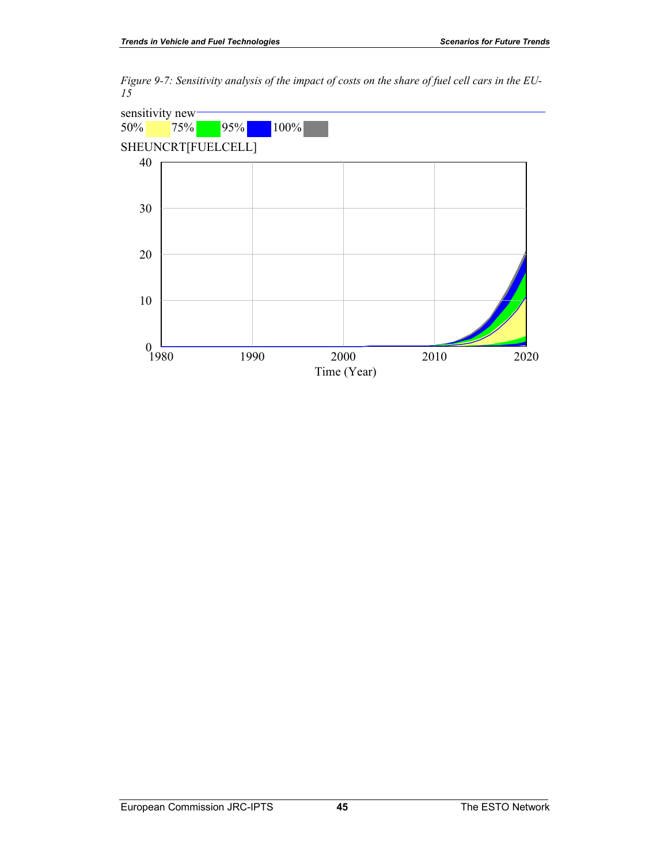*Figure 9-7: Sensitivity analysis of the impact of costs on the share of fuel cell cars in the EU-15* 

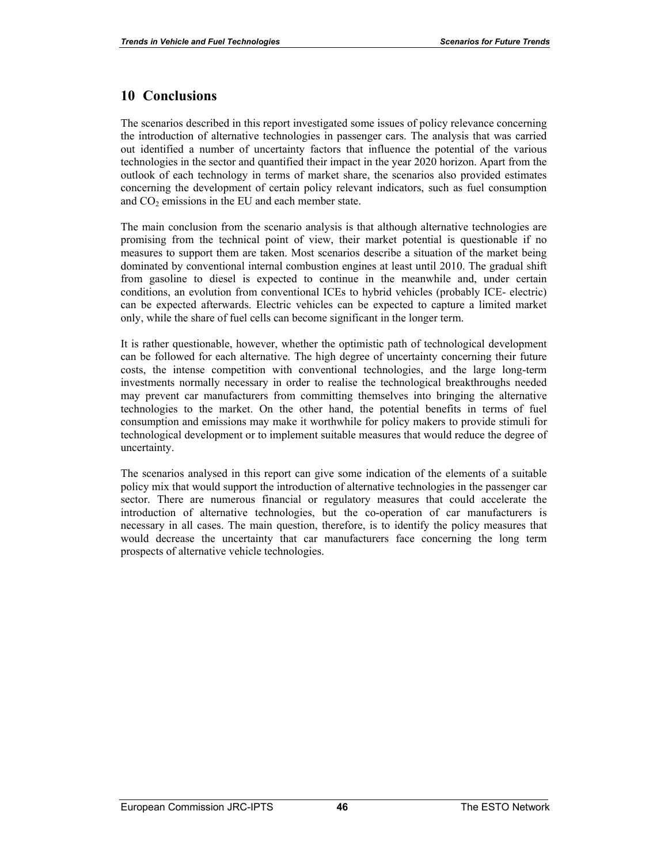#### **10 Conclusions**

The scenarios described in this report investigated some issues of policy relevance concerning the introduction of alternative technologies in passenger cars. The analysis that was carried out identified a number of uncertainty factors that influence the potential of the various technologies in the sector and quantified their impact in the year 2020 horizon. Apart from the outlook of each technology in terms of market share, the scenarios also provided estimates concerning the development of certain policy relevant indicators, such as fuel consumption and  $CO<sub>2</sub>$  emissions in the EU and each member state.

The main conclusion from the scenario analysis is that although alternative technologies are promising from the technical point of view, their market potential is questionable if no measures to support them are taken. Most scenarios describe a situation of the market being dominated by conventional internal combustion engines at least until 2010. The gradual shift from gasoline to diesel is expected to continue in the meanwhile and, under certain conditions, an evolution from conventional ICEs to hybrid vehicles (probably ICE- electric) can be expected afterwards. Electric vehicles can be expected to capture a limited market only, while the share of fuel cells can become significant in the longer term.

It is rather questionable, however, whether the optimistic path of technological development can be followed for each alternative. The high degree of uncertainty concerning their future costs, the intense competition with conventional technologies, and the large long-term investments normally necessary in order to realise the technological breakthroughs needed may prevent car manufacturers from committing themselves into bringing the alternative technologies to the market. On the other hand, the potential benefits in terms of fuel consumption and emissions may make it worthwhile for policy makers to provide stimuli for technological development or to implement suitable measures that would reduce the degree of uncertainty.

The scenarios analysed in this report can give some indication of the elements of a suitable policy mix that would support the introduction of alternative technologies in the passenger car sector. There are numerous financial or regulatory measures that could accelerate the introduction of alternative technologies, but the co-operation of car manufacturers is necessary in all cases. The main question, therefore, is to identify the policy measures that would decrease the uncertainty that car manufacturers face concerning the long term prospects of alternative vehicle technologies.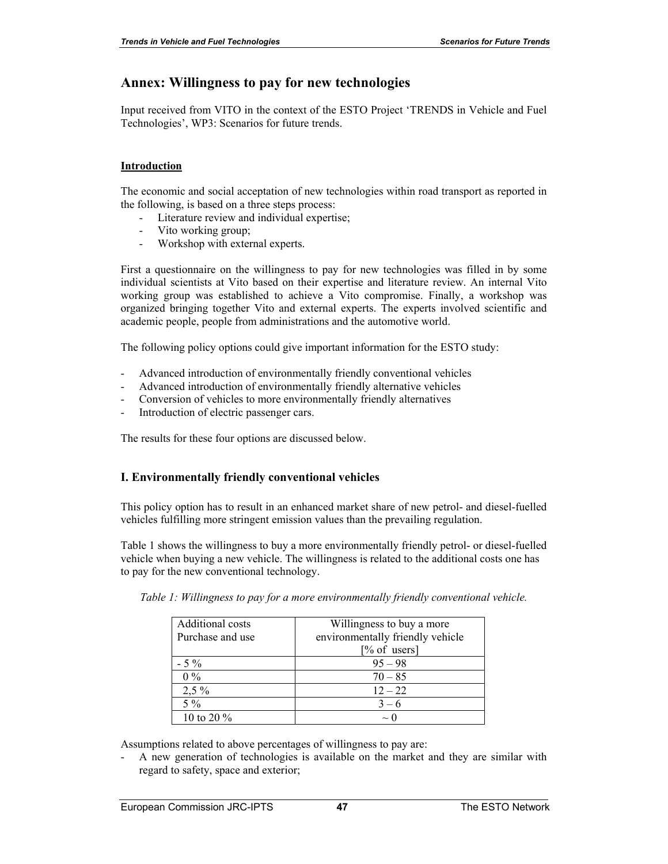## **Annex: Willingness to pay for new technologies**

Input received from VITO in the context of the ESTO Project 'TRENDS in Vehicle and Fuel Technologies', WP3: Scenarios for future trends.

#### **Introduction**

The economic and social acceptation of new technologies within road transport as reported in the following, is based on a three steps process:

- Literature review and individual expertise;
- Vito working group;
- Workshop with external experts.

First a questionnaire on the willingness to pay for new technologies was filled in by some individual scientists at Vito based on their expertise and literature review. An internal Vito working group was established to achieve a Vito compromise. Finally, a workshop was organized bringing together Vito and external experts. The experts involved scientific and academic people, people from administrations and the automotive world.

The following policy options could give important information for the ESTO study:

- Advanced introduction of environmentally friendly conventional vehicles
- Advanced introduction of environmentally friendly alternative vehicles
- Conversion of vehicles to more environmentally friendly alternatives
- Introduction of electric passenger cars.

The results for these four options are discussed below.

#### **I. Environmentally friendly conventional vehicles**

This policy option has to result in an enhanced market share of new petrol- and diesel-fuelled vehicles fulfilling more stringent emission values than the prevailing regulation.

Table 1 shows the willingness to buy a more environmentally friendly petrol- or diesel-fuelled vehicle when buying a new vehicle. The willingness is related to the additional costs one has to pay for the new conventional technology.

| Additional costs | Willingness to buy a more        |  |  |  |
|------------------|----------------------------------|--|--|--|
| Purchase and use | environmentally friendly vehicle |  |  |  |
|                  | $[\%$ of users]                  |  |  |  |
| $-5\%$           | $95 - 98$                        |  |  |  |
| $0\%$            | $70 - 85$                        |  |  |  |
| $2,5\%$          | $12 - 22$                        |  |  |  |
| $5\%$            | $3 - 6$                          |  |  |  |
| 10 to 20 $\%$    | $\sim$ (                         |  |  |  |

*Table 1: Willingness to pay for a more environmentally friendly conventional vehicle.* 

Assumptions related to above percentages of willingness to pay are:

A new generation of technologies is available on the market and they are similar with regard to safety, space and exterior;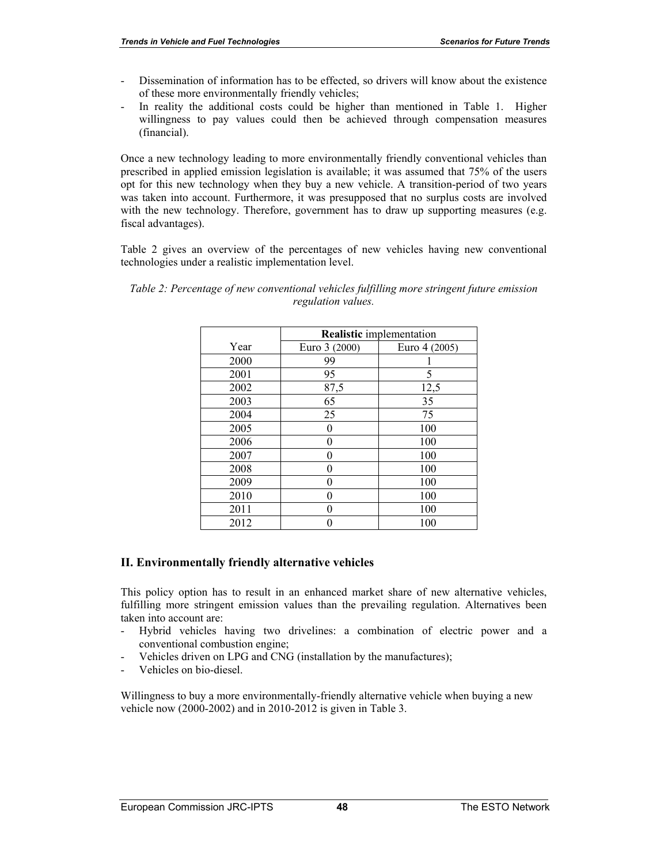- Dissemination of information has to be effected, so drivers will know about the existence of these more environmentally friendly vehicles;
- In reality the additional costs could be higher than mentioned in Table 1. Higher willingness to pay values could then be achieved through compensation measures (financial).

Once a new technology leading to more environmentally friendly conventional vehicles than prescribed in applied emission legislation is available; it was assumed that 75% of the users opt for this new technology when they buy a new vehicle. A transition-period of two years was taken into account. Furthermore, it was presupposed that no surplus costs are involved with the new technology. Therefore, government has to draw up supporting measures (e.g. fiscal advantages).

Table 2 gives an overview of the percentages of new vehicles having new conventional technologies under a realistic implementation level.

|      | <b>Realistic</b> implementation |               |  |  |  |
|------|---------------------------------|---------------|--|--|--|
| Year | Euro 3 (2000)                   | Euro 4 (2005) |  |  |  |
| 2000 | 99                              |               |  |  |  |
| 2001 | 95                              | 5             |  |  |  |
| 2002 | 87,5                            | 12,5          |  |  |  |
| 2003 | 65                              | 35            |  |  |  |
| 2004 | 25                              | 75            |  |  |  |
| 2005 | 0                               | 100           |  |  |  |
| 2006 | 0                               | 100           |  |  |  |
| 2007 |                                 | 100           |  |  |  |
| 2008 |                                 | 100           |  |  |  |
| 2009 |                                 | 100           |  |  |  |
| 2010 |                                 | 100           |  |  |  |
| 2011 |                                 | 100           |  |  |  |
| 2012 |                                 | 100           |  |  |  |

*Table 2: Percentage of new conventional vehicles fulfilling more stringent future emission regulation values.* 

#### **II. Environmentally friendly alternative vehicles**

This policy option has to result in an enhanced market share of new alternative vehicles, fulfilling more stringent emission values than the prevailing regulation. Alternatives been taken into account are:

- Hybrid vehicles having two drivelines: a combination of electric power and a conventional combustion engine;
- Vehicles driven on LPG and CNG (installation by the manufactures);
- Vehicles on bio-diesel.

Willingness to buy a more environmentally-friendly alternative vehicle when buying a new vehicle now (2000-2002) and in 2010-2012 is given in Table 3.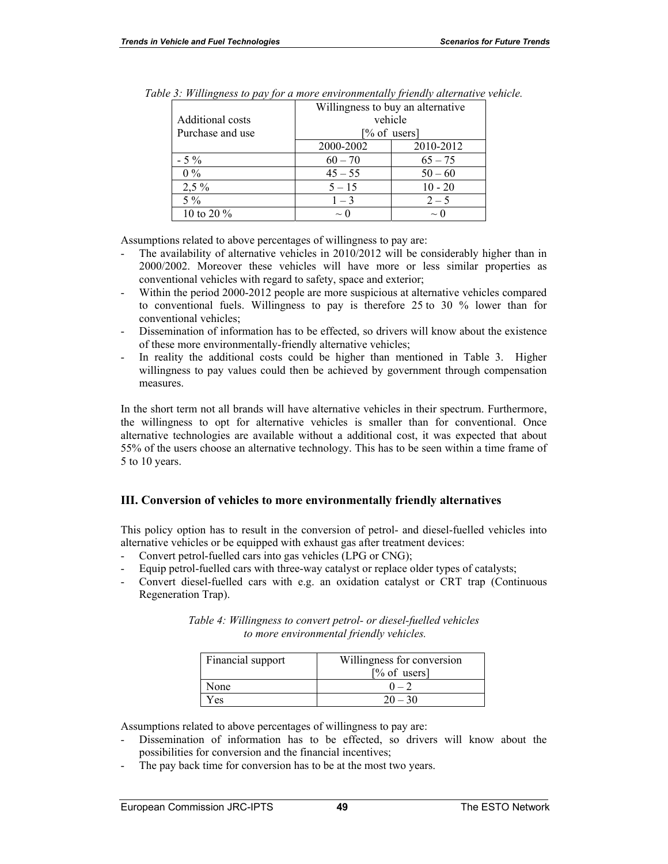| Additional costs | Willingness to buy an alternative<br>vehicle |           |  |  |  |
|------------------|----------------------------------------------|-----------|--|--|--|
| Purchase and use | $[\%$ of users]                              |           |  |  |  |
|                  | 2000-2002                                    | 2010-2012 |  |  |  |
| $-5\%$           | $60 - 70$                                    | $65 - 75$ |  |  |  |
| $0\%$            | $45 - 55$                                    | $50 - 60$ |  |  |  |
| $2,5\%$          | $5 - 15$                                     | $10 - 20$ |  |  |  |
| $5\%$            | $1 - 3$                                      | $2 - 5$   |  |  |  |
| 10 to 20 $\%$    | $\sim$ 0                                     | $\sim$ C  |  |  |  |

|  |  |  |  |  | Table 3: Willingness to pay for a more environmentally friendly alternative vehicle. |
|--|--|--|--|--|--------------------------------------------------------------------------------------|
|--|--|--|--|--|--------------------------------------------------------------------------------------|

Assumptions related to above percentages of willingness to pay are:

- The availability of alternative vehicles in 2010/2012 will be considerably higher than in 2000/2002. Moreover these vehicles will have more or less similar properties as conventional vehicles with regard to safety, space and exterior;
- Within the period 2000-2012 people are more suspicious at alternative vehicles compared to conventional fuels. Willingness to pay is therefore 25 to 30 % lower than for conventional vehicles;
- Dissemination of information has to be effected, so drivers will know about the existence of these more environmentally-friendly alternative vehicles;
- In reality the additional costs could be higher than mentioned in Table 3. Higher willingness to pay values could then be achieved by government through compensation measures.

In the short term not all brands will have alternative vehicles in their spectrum. Furthermore, the willingness to opt for alternative vehicles is smaller than for conventional. Once alternative technologies are available without a additional cost, it was expected that about 55% of the users choose an alternative technology. This has to be seen within a time frame of 5 to 10 years.

#### **III. Conversion of vehicles to more environmentally friendly alternatives**

This policy option has to result in the conversion of petrol- and diesel-fuelled vehicles into alternative vehicles or be equipped with exhaust gas after treatment devices:

- Convert petrol-fuelled cars into gas vehicles (LPG or CNG);
- Equip petrol-fuelled cars with three-way catalyst or replace older types of catalysts;
- Convert diesel-fuelled cars with e.g. an oxidation catalyst or CRT trap (Continuous Regeneration Trap).

| Financial support | Willingness for conversion<br>$\lceil\% \text{ of users}\rceil$ |
|-------------------|-----------------------------------------------------------------|
| None              |                                                                 |
| Y es              | $20 - 30$                                                       |

*Table 4: Willingness to convert petrol- or diesel-fuelled vehicles to more environmental friendly vehicles.* 

Assumptions related to above percentages of willingness to pay are:

- Dissemination of information has to be effected, so drivers will know about the possibilities for conversion and the financial incentives;
- The pay back time for conversion has to be at the most two years.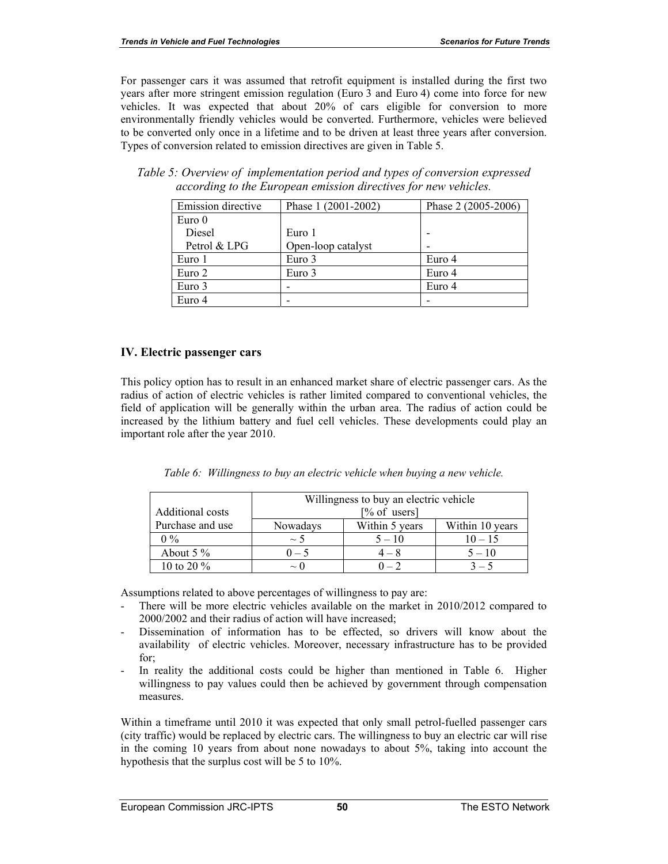For passenger cars it was assumed that retrofit equipment is installed during the first two years after more stringent emission regulation (Euro 3 and Euro 4) come into force for new vehicles. It was expected that about 20% of cars eligible for conversion to more environmentally friendly vehicles would be converted. Furthermore, vehicles were believed to be converted only once in a lifetime and to be driven at least three years after conversion. Types of conversion related to emission directives are given in Table 5.

*Table 5: Overview of implementation period and types of conversion expressed according to the European emission directives for new vehicles.* 

| Emission directive | Phase 1 (2001-2002) | Phase 2 (2005-2006) |
|--------------------|---------------------|---------------------|
| Euro 0             |                     |                     |
| Diesel             | Euro 1              |                     |
| Petrol & LPG       | Open-loop catalyst  |                     |
| Euro 1             | Euro 3              | Euro 4              |
| Euro 2             | Euro 3              | Euro 4              |
| Euro 3             |                     | Euro 4              |
| Euro 4             |                     |                     |

#### **IV. Electric passenger cars**

This policy option has to result in an enhanced market share of electric passenger cars. As the radius of action of electric vehicles is rather limited compared to conventional vehicles, the field of application will be generally within the urban area. The radius of action could be increased by the lithium battery and fuel cell vehicles. These developments could play an important role after the year 2010.

| Table 6: Willingness to buy an electric vehicle when buying a new vehicle. |  |  |  |
|----------------------------------------------------------------------------|--|--|--|
|                                                                            |  |  |  |

|                  | Willingness to buy an electric vehicle |                |                 |
|------------------|----------------------------------------|----------------|-----------------|
| Additional costs | $[\%$ of users]                        |                |                 |
| Purchase and use | Nowadays                               | Within 5 years | Within 10 years |
| $0\%$            | $\sim$ 5                               | $5 - 10$       | $10 - 15$       |
| About $5\%$      | $0 - 5$                                | $4 - 8$        | $5 - 10$        |
| 10 to 20 $\%$    | $\sim$ ()                              |                | $3 - 5$         |

Assumptions related to above percentages of willingness to pay are:

- There will be more electric vehicles available on the market in 2010/2012 compared to 2000/2002 and their radius of action will have increased;
- Dissemination of information has to be effected, so drivers will know about the availability of electric vehicles. Moreover, necessary infrastructure has to be provided for;
- In reality the additional costs could be higher than mentioned in Table 6. Higher willingness to pay values could then be achieved by government through compensation measures.

Within a timeframe until 2010 it was expected that only small petrol-fuelled passenger cars (city traffic) would be replaced by electric cars. The willingness to buy an electric car will rise in the coming 10 years from about none nowadays to about 5%, taking into account the hypothesis that the surplus cost will be 5 to 10%.